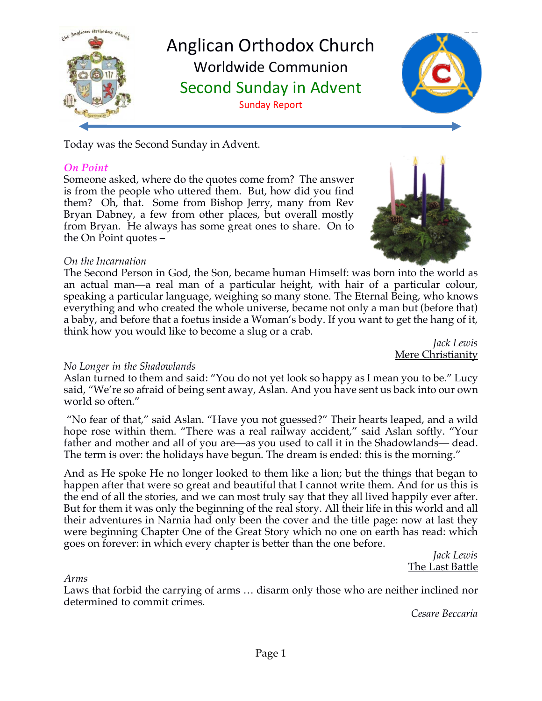

Anglican Orthodox Church Worldwide Communion Second Sunday in Advent Sunday Report



Today was the Second Sunday in Advent.

#### *On Point*

Someone asked, where do the quotes come from? The answer is from the people who uttered them. But, how did you find them? Oh, that. Some from Bishop Jerry, many from Rev Bryan Dabney, a few from other places, but overall mostly from Bryan. He always has some great ones to share. On to the On Point quotes –



#### *On the Incarnation*

The Second Person in God, the Son, became human Himself: was born into the world as an actual man—a real man of a particular height, with hair of a particular colour, speaking a particular language, weighing so many stone. The Eternal Being, who knows everything and who created the whole universe, became not only a man but (before that) a baby, and before that a foetus inside a Woman's body. If you want to get the hang of it, think how you would like to become a slug or a crab.

*Jack Lewis* Mere Christianity

## *No Longer in the Shadowlands*

Aslan turned to them and said: "You do not yet look so happy as I mean you to be." Lucy said, "We're so afraid of being sent away, Aslan. And you have sent us back into our own world so often."

"No fear of that," said Aslan. "Have you not guessed?" Their hearts leaped, and a wild hope rose within them. "There was a real railway accident," said Aslan softly. "Your father and mother and all of you are—as you used to call it in the Shadowlands— dead. The term is over: the holidays have begun. The dream is ended: this is the morning."

And as He spoke He no longer looked to them like a lion; but the things that began to happen after that were so great and beautiful that I cannot write them. And for us this is the end of all the stories, and we can most truly say that they all lived happily ever after. But for them it was only the beginning of the real story. All their life in this world and all their adventures in Narnia had only been the cover and the title page: now at last they were beginning Chapter One of the Great Story which no one on earth has read: which goes on forever: in which every chapter is better than the one before.

*Jack Lewis* The Last Battle

#### *Arms*

Laws that forbid the carrying of arms … disarm only those who are neither inclined nor determined to commit crimes.

*Cesare Beccaria*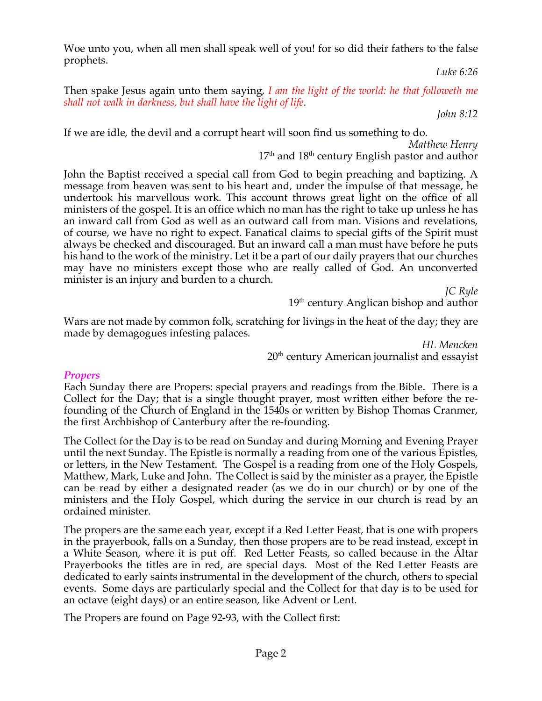Woe unto you, when all men shall speak well of you! for so did their fathers to the false prophets.

*Luke 6:26*

Then spake Jesus again unto them saying, *I am the light of the world: he that followeth me shall not walk in darkness, but shall have the light of life*.

*John 8:12*

If we are idle, the devil and a corrupt heart will soon find us something to do.

*Matthew Henry*

 $17<sup>th</sup>$  and  $18<sup>th</sup>$  century English pastor and author

John the Baptist received a special call from God to begin preaching and baptizing. A message from heaven was sent to his heart and, under the impulse of that message, he undertook his marvellous work. This account throws great light on the office of all ministers of the gospel. It is an office which no man has the right to take up unless he has an inward call from God as well as an outward call from man. Visions and revelations, of course, we have no right to expect. Fanatical claims to special gifts of the Spirit must always be checked and discouraged. But an inward call a man must have before he puts his hand to the work of the ministry. Let it be a part of our daily prayers that our churches may have no ministers except those who are really called of God. An unconverted minister is an injury and burden to a church.

*JC Ryle*

19<sup>th</sup> century Anglican bishop and author

Wars are not made by common folk, scratching for livings in the heat of the day; they are made by demagogues infesting palaces.

> *HL Mencken* 20<sup>th</sup> century American journalist and essayist

## *Propers*

Each Sunday there are Propers: special prayers and readings from the Bible. There is a Collect for the Day; that is a single thought prayer, most written either before the refounding of the Church of England in the 1540s or written by Bishop Thomas Cranmer, the first Archbishop of Canterbury after the re-founding.

The Collect for the Day is to be read on Sunday and during Morning and Evening Prayer until the next Sunday. The Epistle is normally a reading from one of the various Epistles, or letters, in the New Testament. The Gospel is a reading from one of the Holy Gospels, Matthew, Mark, Luke and John. The Collect is said by the minister as a prayer, the Epistle can be read by either a designated reader (as we do in our church) or by one of the ministers and the Holy Gospel, which during the service in our church is read by an ordained minister.

The propers are the same each year, except if a Red Letter Feast, that is one with propers in the prayerbook, falls on a Sunday, then those propers are to be read instead, except in a White Season, where it is put off. Red Letter Feasts, so called because in the Altar Prayerbooks the titles are in red, are special days. Most of the Red Letter Feasts are dedicated to early saints instrumental in the development of the church, others to special events. Some days are particularly special and the Collect for that day is to be used for an octave (eight days) or an entire season, like Advent or Lent.

The Propers are found on Page 92-93, with the Collect first: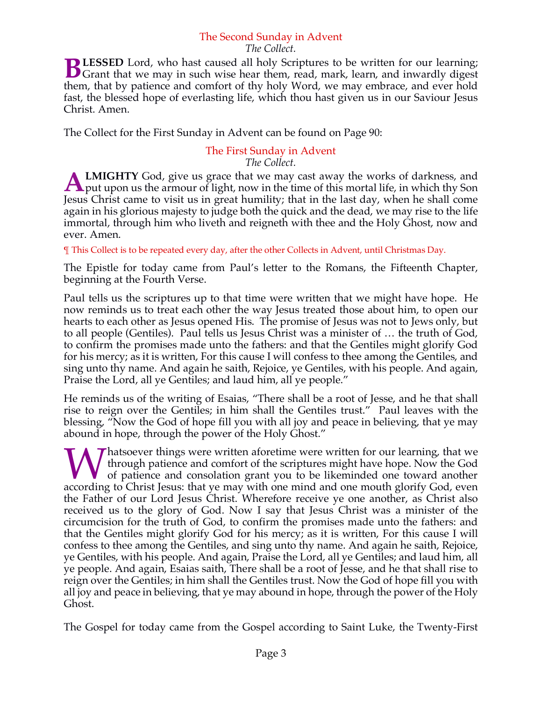## The Second Sunday in Advent

#### *The Collect.*

**LESSED** Lord, who hast caused all holy Scriptures to be written for our learning; **BLESSED** Lord, who hast caused all holy Scriptures to be written for our learning;<br>Grant that we may in such wise hear them, read, mark, learn, and inwardly digest them, that by patience and comfort of thy holy Word, we may embrace, and ever hold fast, the blessed hope of everlasting life, which thou hast given us in our Saviour Jesus Christ. Amen.

The Collect for the First Sunday in Advent can be found on Page 90:

# The First Sunday in Advent

*The Collect.*

**LMIGHTY** God, give us grace that we may cast away the works of darkness, and **A LMIGHTY** God, give us grace that we may cast away the works of darkness, and put upon us the armour of light, now in the time of this mortal life, in which thy Son Jesus Christ came to visit us in great humility; that in the last day, when he shall come again in his glorious majesty to judge both the quick and the dead, we may rise to the life immortal, through him who liveth and reigneth with thee and the Holy Ghost, now and ever. Amen.

¶ This Collect is to be repeated every day, after the other Collects in Advent, until Christmas Day.

The Epistle for today came from Paul's letter to the Romans, the Fifteenth Chapter, beginning at the Fourth Verse.

Paul tells us the scriptures up to that time were written that we might have hope. He now reminds us to treat each other the way Jesus treated those about him, to open our hearts to each other as Jesus opened His. The promise of Jesus was not to Jews only, but to all people (Gentiles). Paul tells us Jesus Christ was a minister of … the truth of God, to confirm the promises made unto the fathers: and that the Gentiles might glorify God for his mercy; as it is written, For this cause I will confess to thee among the Gentiles, and sing unto thy name. And again he saith, Rejoice, ye Gentiles, with his people. And again, Praise the Lord, all ye Gentiles; and laud him, all ye people."

He reminds us of the writing of Esaias, "There shall be a root of Jesse, and he that shall rise to reign over the Gentiles; in him shall the Gentiles trust." Paul leaves with the blessing, "Now the God of hope fill you with all joy and peace in believing, that ye may abound in hope, through the power of the Holy Ghost."

 $\sum$  hatsoever things were written aforetime were written for our learning, that we through patience and comfort of the scriptures might have hope. Now the God of patience and consolation grant you to be likeminded one toward another **A** hatsoever things were written aforetime were written for our learning, that we through patience and comfort of the scriptures might have hope. Now the God of patience and consolation grant you to be likeminded one towa the Father of our Lord Jesus Christ. Wherefore receive ye one another, as Christ also received us to the glory of God. Now I say that Jesus Christ was a minister of the circumcision for the truth of God, to confirm the promises made unto the fathers: and that the Gentiles might glorify God for his mercy; as it is written, For this cause I will confess to thee among the Gentiles, and sing unto thy name. And again he saith, Rejoice, ye Gentiles, with his people. And again, Praise the Lord, all ye Gentiles; and laud him, all ye people. And again, Esaias saith, There shall be a root of Jesse, and he that shall rise to reign over the Gentiles; in him shall the Gentiles trust. Now the God of hope fill you with all joy and peace in believing, that ye may abound in hope, through the power of the Holy Ghost.

The Gospel for today came from the Gospel according to Saint Luke, the Twenty-First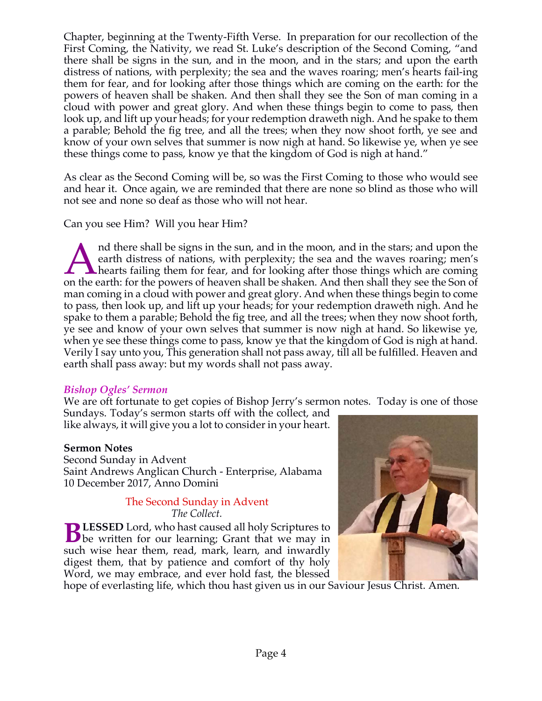Chapter, beginning at the Twenty-Fifth Verse. In preparation for our recollection of the First Coming, the Nativity, we read St. Luke's description of the Second Coming, "and there shall be signs in the sun, and in the moon, and in the stars; and upon the earth distress of nations, with perplexity; the sea and the waves roaring; men's hearts fail-ing them for fear, and for looking after those things which are coming on the earth: for the powers of heaven shall be shaken. And then shall they see the Son of man coming in a cloud with power and great glory. And when these things begin to come to pass, then look up, and lift up your heads; for your redemption draweth nigh. And he spake to them a parable; Behold the fig tree, and all the trees; when they now shoot forth, ye see and know of your own selves that summer is now nigh at hand. So likewise ye, when ye see these things come to pass, know ye that the kingdom of God is nigh at hand."

As clear as the Second Coming will be, so was the First Coming to those who would see and hear it. Once again, we are reminded that there are none so blind as those who will not see and none so deaf as those who will not hear.

Can you see Him? Will you hear Him?

nd there shall be signs in the sun, and in the moon, and in the stars; and upon the earth distress of nations, with perplexity; the sea and the waves roaring; men's hearts failing them for fear, and for looking after those things which are coming and there shall be signs in the sun, and in the moon, and in the stars; and upon the earth distress of nations, with perplexity; the sea and the waves roaring; men's hearts failing them for fear, and for looking after thos man coming in a cloud with power and great glory. And when these things begin to come to pass, then look up, and lift up your heads; for your redemption draweth nigh. And he spake to them a parable; Behold the fig tree, and all the trees; when they now shoot forth, ye see and know of your own selves that summer is now nigh at hand. So likewise ye, when ye see these things come to pass, know ye that the kingdom of God is nigh at hand. Verily I say unto you, This generation shall not pass away, till all be fulfilled. Heaven and earth shall pass away: but my words shall not pass away.

#### *Bishop Ogles' Sermon*

We are oft fortunate to get copies of Bishop Jerry's sermon notes. Today is one of those

Sundays. Today's sermon starts off with the collect, and like always, it will give you a lot to consider in your heart.

## **Sermon Notes**

Second Sunday in Advent Saint Andrews Anglican Church - Enterprise, Alabama 10 December 2017, Anno Domini

#### The Second Sunday in Advent *The Collect.*

**LESSED** Lord, who hast caused all holy Scriptures to **BLESSED** Lord, who hast caused all holy Scriptures to be written for our learning; Grant that we may in such wise hear them, read, mark, learn, and inwardly digest them, that by patience and comfort of thy holy Word, we may embrace, and ever hold fast, the blessed



hope of everlasting life, which thou hast given us in our Saviour Jesus Christ. Amen.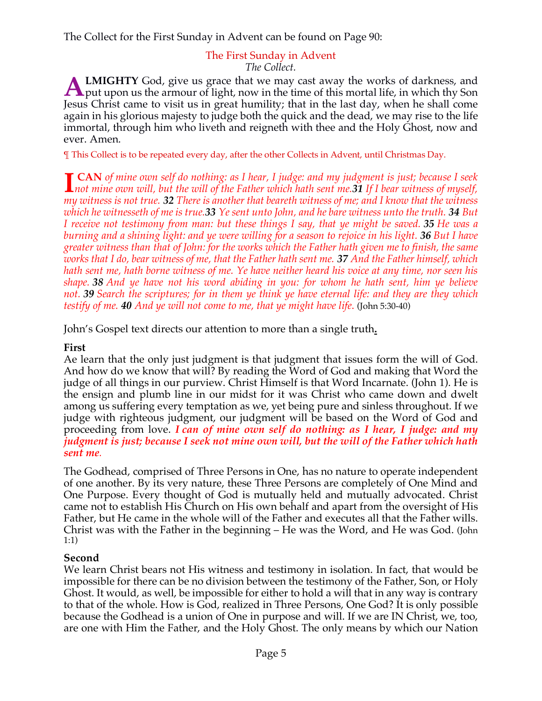The Collect for the First Sunday in Advent can be found on Page 90:

## The First Sunday in Advent

*The Collect.*

**LMIGHTY** God, give us grace that we may cast away the works of darkness, and **A LMIGHTY** God, give us grace that we may cast away the works of darkness, and put upon us the armour of light, now in the time of this mortal life, in which thy Son Level is the time of this mortal life, in which thy Son Jesus Christ came to visit us in great humility; that in the last day, when he shall come again in his glorious majesty to judge both the quick and the dead, we may rise to the life immortal, through him who liveth and reigneth with thee and the Holy Ghost, now and ever. Amen.

¶ This Collect is to be repeated every day, after the other Collects in Advent, until Christmas Day.

**CAN** *of mine own self do nothing: as I hear, I judge: and my judgment is just; because I seek not mine own self do nothing: as I hear, I judge: and my judgment is just; because I seek not mine own will, but the will of the Father which hath sent me.<sup>31</sup> <i>If I bear witness of myself,* $\frac{1}{2}$ *musulities is not my witness is not true. 32 There is another that beareth witness of me; and I know that the witness which he witnesseth of me is true.33 Ye sent unto John, and he bare witness unto the truth. 34 But I receive not testimony from man: but these things I say, that ye might be saved. 35 He was a burning and a shining light: and ye were willing for a season to rejoice in his light. 36 But I have greater witness than that of John: for the works which the Father hath given me to finish, the same works that I do, bear witness of me, that the Father hath sent me. 37 And the Father himself, which hath sent me, hath borne witness of me. Ye have neither heard his voice at any time, nor seen his shape. 38 And ye have not his word abiding in you: for whom he hath sent, him ye believe not. 39 Search the scriptures; for in them ye think ye have eternal life: and they are they which testify of me. 40 And ye will not come to me, that ye might have life*. (John 5:30-40)

John's Gospel text directs our attention to more than a single truth**.**

## **First**

Ae learn that the only just judgment is that judgment that issues form the will of God. And how do we know that will? By reading the Word of God and making that Word the judge of all things in our purview. Christ Himself is that Word Incarnate. (John 1). He is the ensign and plumb line in our midst for it was Christ who came down and dwelt among us suffering every temptation as we, yet being pure and sinless throughout. If we judge with righteous judgment, our judgment will be based on the Word of God and proceeding from love. *I can of mine own self do nothing: as I hear, I judge: and my judgment is just; because I seek not mine own will, but the will of the Father which hath sent me.*

The Godhead, comprised of Three Persons in One, has no nature to operate independent of one another. By its very nature, these Three Persons are completely of One Mind and One Purpose. Every thought of God is mutually held and mutually advocated. Christ came not to establish His Church on His own behalf and apart from the oversight of His Father, but He came in the whole will of the Father and executes all that the Father wills. Christ was with the Father in the beginning – He was the Word, and He was God. (John 1:1)

## **Second**

We learn Christ bears not His witness and testimony in isolation. In fact, that would be impossible for there can be no division between the testimony of the Father, Son, or Holy Ghost. It would, as well, be impossible for either to hold a will that in any way is contrary to that of the whole. How is God, realized in Three Persons, One God? It is only possible because the Godhead is a union of One in purpose and will. If we are IN Christ, we, too, are one with Him the Father, and the Holy Ghost. The only means by which our Nation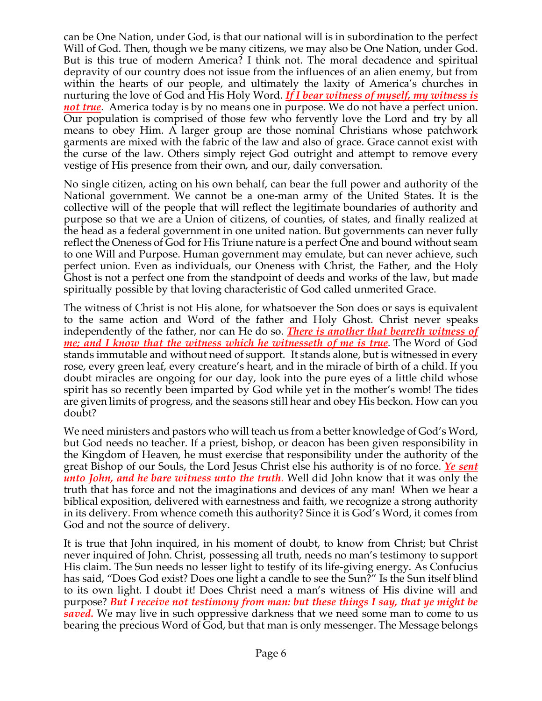can be One Nation, under God, is that our national will is in subordination to the perfect Will of God. Then, though we be many citizens, we may also be One Nation, under God. But is this true of modern America? I think not. The moral decadence and spiritual depravity of our country does not issue from the influences of an alien enemy, but from within the hearts of our people, and ultimately the laxity of America's churches in nurturing the love of God and His Holy Word. *If I bear witness of myself, my witness is not true*. America today is by no means one in purpose. We do not have a perfect union. Our population is comprised of those few who fervently love the Lord and try by all means to obey Him. A larger group are those nominal Christians whose patchwork garments are mixed with the fabric of the law and also of grace. Grace cannot exist with the curse of the law. Others simply reject God outright and attempt to remove every vestige of His presence from their own, and our, daily conversation.

No single citizen, acting on his own behalf, can bear the full power and authority of the National government. We cannot be a one-man army of the United States. It is the collective will of the people that will reflect the legitimate boundaries of authority and purpose so that we are a Union of citizens, of counties, of states, and finally realized at the head as a federal government in one united nation. But governments can never fully reflect the Oneness of God for His Triune nature is a perfect One and bound without seam to one Will and Purpose. Human government may emulate, but can never achieve, such perfect union. Even as individuals, our Oneness with Christ, the Father, and the Holy Ghost is not a perfect one from the standpoint of deeds and works of the law, but made spiritually possible by that loving characteristic of God called unmerited Grace.

The witness of Christ is not His alone, for whatsoever the Son does or says is equivalent to the same action and Word of the father and Holy Ghost. Christ never speaks independently of the father, nor can He do so. *There is another that beareth witness of me; and I know that the witness which he witnesseth of me is true.* The Word of God stands immutable and without need of support. It stands alone, but is witnessed in every rose, every green leaf, every creature's heart, and in the miracle of birth of a child. If you doubt miracles are ongoing for our day, look into the pure eyes of a little child whose spirit has so recently been imparted by God while yet in the mother's womb! The tides are given limits of progress, and the seasons still hear and obey His beckon. How can you doubt?

We need ministers and pastors who will teach us from a better knowledge of God's Word, but God needs no teacher. If a priest, bishop, or deacon has been given responsibility in the Kingdom of Heaven, he must exercise that responsibility under the authority of the great Bishop of our Souls, the Lord Jesus Christ else his authority is of no force. *Ye sent unto John, and he bare witness unto the truth.* Well did John know that it was only the truth that has force and not the imaginations and devices of any man! When we hear a biblical exposition, delivered with earnestness and faith, we recognize a strong authority in its delivery. From whence cometh this authority? Since it is God's Word, it comes from God and not the source of delivery.

It is true that John inquired, in his moment of doubt, to know from Christ; but Christ never inquired of John. Christ, possessing all truth, needs no man's testimony to support His claim. The Sun needs no lesser light to testify of its life-giving energy. As Confucius has said, "Does God exist? Does one light a candle to see the Sun?" Is the Sun itself blind to its own light. I doubt it! Does Christ need a man's witness of His divine will and purpose? *But I receive not testimony from man: but these things I say, that ye might be saved.* We may live in such oppressive darkness that we need some man to come to us bearing the precious Word of God, but that man is only messenger. The Message belongs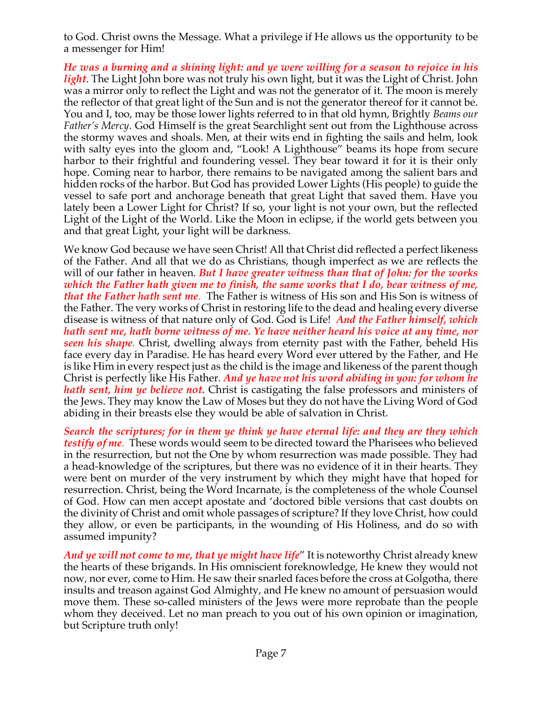to God. Christ owns the Message. What a privilege if He allows us the opportunity to be a messenger for Him!

*He was a burning and a shining light: and ye were willing for a season to rejoice in his light*. The Light John bore was not truly his own light, but it was the Light of Christ. John was a mirror only to reflect the Light and was not the generator of it. The moon is merely the reflector of that great light of the Sun and is not the generator thereof for it cannot be. You and I, too, may be those lower lights referred to in that old hymn, Brightly *Beams our Father's Mercy*. God Himself is the great Searchlight sent out from the Lighthouse across the stormy waves and shoals. Men, at their wits end in fighting the sails and helm, look with salty eyes into the gloom and, "Look! A Lighthouse" beams its hope from secure harbor to their frightful and foundering vessel. They bear toward it for it is their only hope. Coming near to harbor, there remains to be navigated among the salient bars and hidden rocks of the harbor. But God has provided Lower Lights (His people) to guide the vessel to safe port and anchorage beneath that great Light that saved them. Have you lately been a Lower Light for Christ? If so, your light is not your own, but the reflected Light of the Light of the World. Like the Moon in eclipse, if the world gets between you and that great Light, your light will be darkness.

We know God because we have seen Christ! All that Christ did reflected a perfect likeness of the Father. And all that we do as Christians, though imperfect as we are reflects the will of our father in heaven. *But I have greater witness than that of John: for the works which the Father hath given me to finish, the same works that I do, bear witness of me, that the Father hath sent me.* The Father is witness of His son and His Son is witness of the Father. The very works of Christ in restoring life to the dead and healing every diverse disease is witness of that nature only of God. God is Life! *And the Father himself, which hath sent me, hath borne witness of me. Ye have neither heard his voice at any time, nor seen his shape.* Christ, dwelling always from eternity past with the Father, beheld His face every day in Paradise. He has heard every Word ever uttered by the Father, and He is like Him in every respect just as the child is the image and likeness of the parent though Christ is perfectly like His Father. *And ye have not his word abiding in you: for whom he hath sent, him ye believe not.* Christ is castigating the false professors and ministers of the Jews. They may know the Law of Moses but they do not have the Living Word of God abiding in their breasts else they would be able of salvation in Christ.

*Search the scriptures; for in them ye think ye have eternal life: and they are they which testify of me.* These words would seem to be directed toward the Pharisees who believed in the resurrection, but not the One by whom resurrection was made possible. They had a head-knowledge of the scriptures, but there was no evidence of it in their hearts. They were bent on murder of the very instrument by which they might have that hoped for resurrection. Christ, being the Word Incarnate, is the completeness of the whole Counsel of God. How can men accept apostate and 'doctored bible versions that cast doubts on the divinity of Christ and omit whole passages of scripture? If they love Christ, how could they allow, or even be participants, in the wounding of His Holiness, and do so with assumed impunity?

*And ye will not come to me, that ye might have life*" It is noteworthy Christ already knew the hearts of these brigands. In His omniscient foreknowledge, He knew they would not now, nor ever, come to Him. He saw their snarled faces before the cross at Golgotha, there insults and treason against God Almighty, and He knew no amount of persuasion would move them. These so-called ministers of the Jews were more reprobate than the people whom they deceived. Let no man preach to you out of his own opinion or imagination, but Scripture truth only!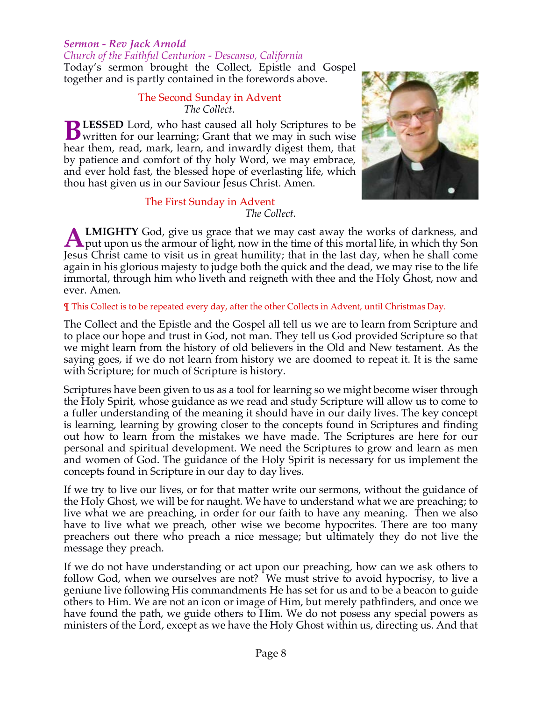#### *Sermon - Rev Jack Arnold*

*Church of the Faithful Centurion - Descanso, California* Today's sermon brought the Collect, Epistle and Gospel together and is partly contained in the forewords above.

#### The Second Sunday in Advent *The Collect.*

**LESSED** Lord, who hast caused all holy Scriptures to be **BLESSED** Lord, who hast caused all holy Scriptures to be written for our learning; Grant that we may in such wise hear them, read, mark, learn, and inwardly digest them, that by patience and comfort of thy holy Word, we may embrace, and ever hold fast, the blessed hope of everlasting life, which thou hast given us in our Saviour Jesus Christ. Amen.



## The First Sunday in Advent

*The Collect.*

**LMIGHTY** God, give us grace that we may cast away the works of darkness, and **A LMIGHTY** God, give us grace that we may cast away the works of darkness, and put upon us the armour of light, now in the time of this mortal life, in which thy Son Jesus Christ came to visit us in great humility; that in the last day, when he shall come again in his glorious majesty to judge both the quick and the dead, we may rise to the life immortal, through him who liveth and reigneth with thee and the Holy Ghost, now and ever. Amen.

#### ¶ This Collect is to be repeated every day, after the other Collects in Advent, until Christmas Day.

The Collect and the Epistle and the Gospel all tell us we are to learn from Scripture and to place our hope and trust in God, not man. They tell us God provided Scripture so that we might learn from the history of old believers in the Old and New testament. As the saying goes, if we do not learn from history we are doomed to repeat it. It is the same with Scripture; for much of Scripture is history.

Scriptures have been given to us as a tool for learning so we might become wiser through the Holy Spirit, whose guidance as we read and study Scripture will allow us to come to a fuller understanding of the meaning it should have in our daily lives. The key concept is learning, learning by growing closer to the concepts found in Scriptures and finding out how to learn from the mistakes we have made. The Scriptures are here for our personal and spiritual development. We need the Scriptures to grow and learn as men and women of God. The guidance of the Holy Spirit is necessary for us implement the concepts found in Scripture in our day to day lives.

If we try to live our lives, or for that matter write our sermons, without the guidance of the Holy Ghost, we will be for naught. We have to understand what we are preaching; to live what we are preaching, in order for our faith to have any meaning. Then we also have to live what we preach, other wise we become hypocrites. There are too many preachers out there who preach a nice message; but ultimately they do not live the message they preach.

If we do not have understanding or act upon our preaching, how can we ask others to follow God, when we ourselves are not? We must strive to avoid hypocrisy, to live a geniune live following His commandments He has set for us and to be a beacon to guide others to Him. We are not an icon or image of Him, but merely pathfinders, and once we have found the path, we guide others to Him. We do not posess any special powers as ministers of the Lord, except as we have the Holy Ghost within us, directing us. And that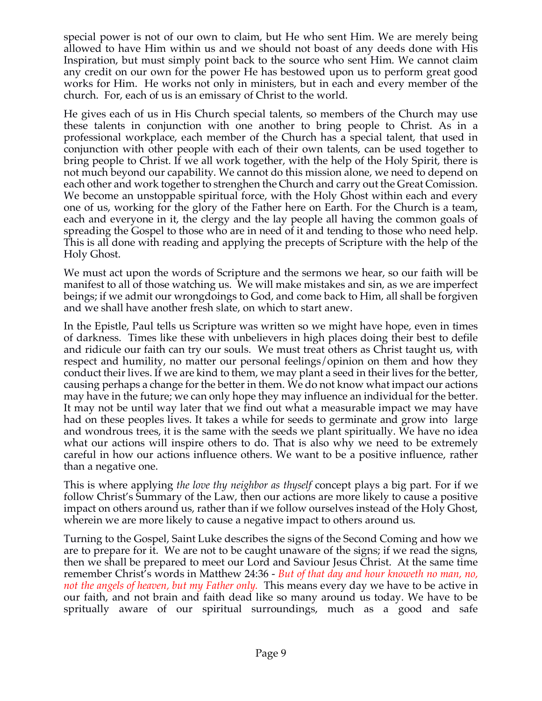special power is not of our own to claim, but He who sent Him. We are merely being allowed to have Him within us and we should not boast of any deeds done with His Inspiration, but must simply point back to the source who sent Him. We cannot claim any credit on our own for the power He has bestowed upon us to perform great good works for Him. He works not only in ministers, but in each and every member of the church. For, each of us is an emissary of Christ to the world.

He gives each of us in His Church special talents, so members of the Church may use these talents in conjunction with one another to bring people to Christ. As in a professional workplace, each member of the Church has a special talent, that used in conjunction with other people with each of their own talents, can be used together to bring people to Christ. If we all work together, with the help of the Holy Spirit, there is not much beyond our capability. We cannot do this mission alone, we need to depend on each other and work together to strenghen the Church and carry out the Great Comission. We become an unstoppable spiritual force, with the Holy Ghost within each and every one of us, working for the glory of the Father here on Earth. For the Church is a team, each and everyone in it, the clergy and the lay people all having the common goals of spreading the Gospel to those who are in need of it and tending to those who need help. This is all done with reading and applying the precepts of Scripture with the help of the Holy Ghost.

We must act upon the words of Scripture and the sermons we hear, so our faith will be manifest to all of those watching us. We will make mistakes and sin, as we are imperfect beings; if we admit our wrongdoings to God, and come back to Him, all shall be forgiven and we shall have another fresh slate, on which to start anew.

In the Epistle, Paul tells us Scripture was written so we might have hope, even in times of darkness. Times like these with unbelievers in high places doing their best to defile and ridicule our faith can try our souls. We must treat others as Christ taught us, with respect and humility, no matter our personal feelings/opinion on them and how they conduct their lives. If we are kind to them, we may plant a seed in their lives for the better, causing perhaps a change for the better in them. We do not know what impact our actions may have in the future; we can only hope they may influence an individual for the better. It may not be until way later that we find out what a measurable impact we may have had on these peoples lives. It takes a while for seeds to germinate and grow into large and wondrous trees, it is the same with the seeds we plant spiritually. We have no idea what our actions will inspire others to do. That is also why we need to be extremely careful in how our actions influence others. We want to be a positive influence, rather than a negative one.

This is where applying *the love thy neighbor as thyself* concept plays a big part. For if we follow Christ's Summary of the Law, then our actions are more likely to cause a positive impact on others around us, rather than if we follow ourselves instead of the Holy Ghost, wherein we are more likely to cause a negative impact to others around us.

Turning to the Gospel, Saint Luke describes the signs of the Second Coming and how we are to prepare for it. We are not to be caught unaware of the signs; if we read the signs, then we shall be prepared to meet our Lord and Saviour Jesus Christ. At the same time remember Christ's words in Matthew 24:36 - *But of that day and hour knoweth no man, no, not the angels of heaven, but my Father only.* This means every day we have to be active in our faith, and not brain and faith dead like so many around us today. We have to be spritually aware of our spiritual surroundings, much as a good and safe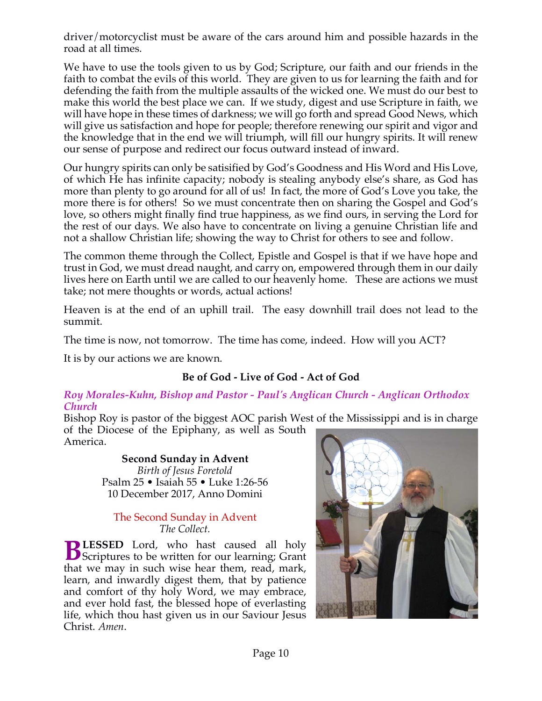driver/motorcyclist must be aware of the cars around him and possible hazards in the road at all times.

We have to use the tools given to us by God; Scripture, our faith and our friends in the faith to combat the evils of this world. They are given to us for learning the faith and for defending the faith from the multiple assaults of the wicked one. We must do our best to make this world the best place we can. If we study, digest and use Scripture in faith, we will have hope in these times of darkness; we will go forth and spread Good News, which will give us satisfaction and hope for people; therefore renewing our spirit and vigor and the knowledge that in the end we will triumph, will fill our hungry spirits. It will renew our sense of purpose and redirect our focus outward instead of inward.

Our hungry spirits can only be satisified by God's Goodness and His Word and His Love, of which He has infinite capacity; nobody is stealing anybody else's share, as God has more than plenty to go around for all of us! In fact, the more of God's Love you take, the more there is for others! So we must concentrate then on sharing the Gospel and God's love, so others might finally find true happiness, as we find ours, in serving the Lord for the rest of our days. We also have to concentrate on living a genuine Christian life and not a shallow Christian life; showing the way to Christ for others to see and follow.

The common theme through the Collect, Epistle and Gospel is that if we have hope and trust in God, we must dread naught, and carry on, empowered through them in our daily lives here on Earth until we are called to our heavenly home. These are actions we must take; not mere thoughts or words, actual actions!

Heaven is at the end of an uphill trail. The easy downhill trail does not lead to the summit.

The time is now, not tomorrow. The time has come, indeed. How will you ACT?

It is by our actions we are known.

## **Be of God - Live of God - Act of God**

#### *Roy Morales-Kuhn, Bishop and Pastor - Paul's Anglican Church - Anglican Orthodox Church*

Bishop Roy is pastor of the biggest AOC parish West of the Mississippi and is in charge of the Diocese of the Epiphany, as well as South America.

#### **Second Sunday in Advent**  *Birth of Jesus Foretold*

Psalm 25 • Isaiah 55 • Luke 1:26-56 10 December 2017, Anno Domini

#### The Second Sunday in Advent *The Collect.*

**LESSED** Lord, who hast caused all holy **BLESSED** Lord, who hast caused all holy Scriptures to be written for our learning; Grant that we may in such wise hear them, read, mark, learn, and inwardly digest them, that by patience and comfort of thy holy Word, we may embrace, and ever hold fast, the blessed hope of everlasting life, which thou hast given us in our Saviour Jesus Christ. *Amen*.

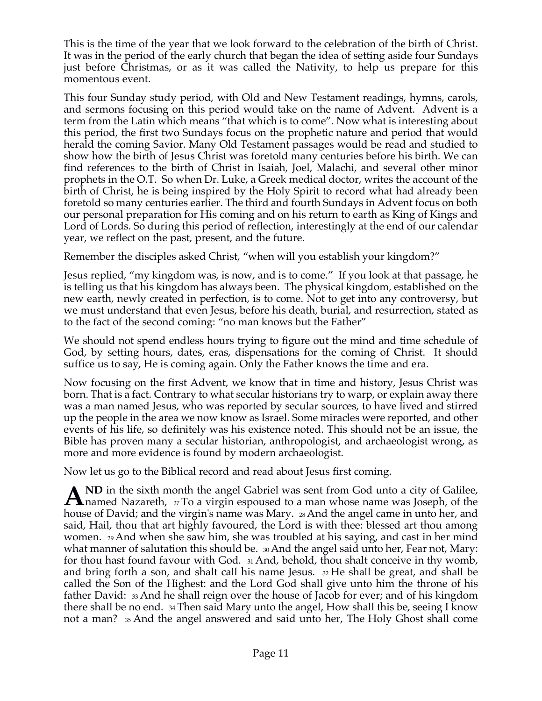This is the time of the year that we look forward to the celebration of the birth of Christ. It was in the period of the early church that began the idea of setting aside four Sundays just before Christmas, or as it was called the Nativity, to help us prepare for this momentous event.

This four Sunday study period, with Old and New Testament readings, hymns, carols, and sermons focusing on this period would take on the name of Advent. Advent is a term from the Latin which means "that which is to come". Now what is interesting about this period, the first two Sundays focus on the prophetic nature and period that would herald the coming Savior. Many Old Testament passages would be read and studied to show how the birth of Jesus Christ was foretold many centuries before his birth. We can find references to the birth of Christ in Isaiah, Joel, Malachi, and several other minor prophets in the O.T. So when Dr. Luke, a Greek medical doctor, writes the account of the birth of Christ, he is being inspired by the Holy Spirit to record what had already been foretold so many centuries earlier. The third and fourth Sundays in Advent focus on both our personal preparation for His coming and on his return to earth as King of Kings and Lord of Lords. So during this period of reflection, interestingly at the end of our calendar year, we reflect on the past, present, and the future.

Remember the disciples asked Christ, "when will you establish your kingdom?"

Jesus replied, "my kingdom was, is now, and is to come." If you look at that passage, he is telling us that his kingdom has always been. The physical kingdom, established on the new earth, newly created in perfection, is to come. Not to get into any controversy, but we must understand that even Jesus, before his death, burial, and resurrection, stated as to the fact of the second coming: "no man knows but the Father"

We should not spend endless hours trying to figure out the mind and time schedule of God, by setting hours, dates, eras, dispensations for the coming of Christ. It should suffice us to say, He is coming again. Only the Father knows the time and era.

Now focusing on the first Advent, we know that in time and history, Jesus Christ was born. That is a fact. Contrary to what secular historians try to warp, or explain away there was a man named Jesus, who was reported by secular sources, to have lived and stirred up the people in the area we now know as Israel. Some miracles were reported, and other events of his life, so definitely was his existence noted. This should not be an issue, the Bible has proven many a secular historian, anthropologist, and archaeologist wrong, as more and more evidence is found by modern archaeologist.

Now let us go to the Biblical record and read about Jesus first coming.

**ND** in the sixth month the angel Gabriel was sent from God unto a city of Galilee, A ND in the sixth month the angel Gabriel was sent from God unto a city of Galilee,<br>hanned Nazareth, 27 To a virgin espoused to a man whose name was Joseph, of the house of David; and the virgin's name was Mary. 28 And the angel came in unto her, and said, Hail, thou that art highly favoured, the Lord is with thee: blessed art thou among women. 29 And when she saw him, she was troubled at his saying, and cast in her mind what manner of salutation this should be.  $\omega_0$  And the angel said unto her, Fear not, Mary: for thou hast found favour with God. 31 And, behold, thou shalt conceive in thy womb, and bring forth a son, and shalt call his name Jesus. 32 He shall be great, and shall be called the Son of the Highest: and the Lord God shall give unto him the throne of his father David: 33 And he shall reign over the house of Jacob for ever; and of his kingdom there shall be no end. 34 Then said Mary unto the angel, How shall this be, seeing I know not a man? 35 And the angel answered and said unto her, The Holy Ghost shall come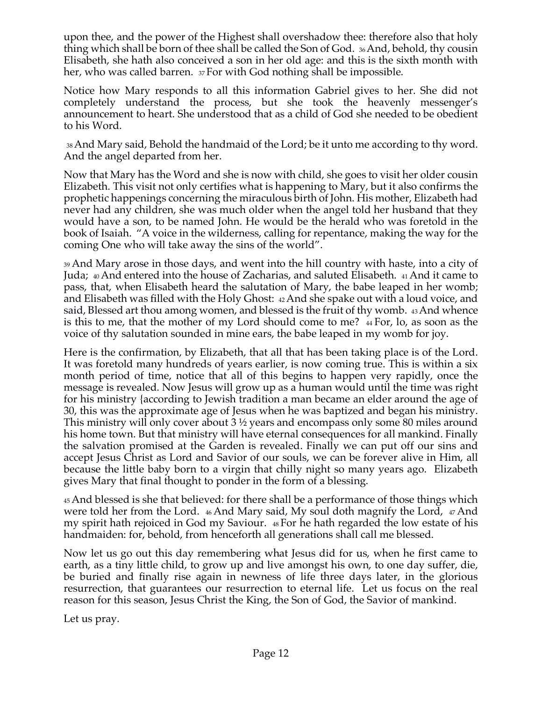upon thee, and the power of the Highest shall overshadow thee: therefore also that holy thing which shall be born of thee shall be called the Son of God. 36 And, behold, thy cousin Elisabeth, she hath also conceived a son in her old age: and this is the sixth month with her, who was called barren. 37 For with God nothing shall be impossible.

Notice how Mary responds to all this information Gabriel gives to her. She did not completely understand the process, but she took the heavenly messenger's announcement to heart. She understood that as a child of God she needed to be obedient to his Word.

38 And Mary said, Behold the handmaid of the Lord; be it unto me according to thy word. And the angel departed from her.

Now that Mary has the Word and she is now with child, she goes to visit her older cousin Elizabeth. This visit not only certifies what is happening to Mary, but it also confirms the prophetic happenings concerning the miraculous birth of John. His mother, Elizabeth had never had any children, she was much older when the angel told her husband that they would have a son, to be named John. He would be the herald who was foretold in the book of Isaiah. "A voice in the wilderness, calling for repentance, making the way for the coming One who will take away the sins of the world".

39 And Mary arose in those days, and went into the hill country with haste, into a city of Juda; 40 And entered into the house of Zacharias, and saluted Elisabeth. 41 And it came to pass, that, when Elisabeth heard the salutation of Mary, the babe leaped in her womb; and Elisabeth was filled with the Holy Ghost: 42 And she spake out with a loud voice, and said, Blessed art thou among women, and blessed is the fruit of thy womb. 43 And whence is this to me, that the mother of my Lord should come to me? 44 For, lo, as soon as the voice of thy salutation sounded in mine ears, the babe leaped in my womb for joy.

Here is the confirmation, by Elizabeth, that all that has been taking place is of the Lord. It was foretold many hundreds of years earlier, is now coming true. This is within a six month period of time, notice that all of this begins to happen very rapidly, once the message is revealed. Now Jesus will grow up as a human would until the time was right for his ministry {according to Jewish tradition a man became an elder around the age of 30, this was the approximate age of Jesus when he was baptized and began his ministry. This ministry will only cover about 3 ½ years and encompass only some 80 miles around his home town. But that ministry will have eternal consequences for all mankind. Finally the salvation promised at the Garden is revealed. Finally we can put off our sins and accept Jesus Christ as Lord and Savior of our souls, we can be forever alive in Him, all because the little baby born to a virgin that chilly night so many years ago. Elizabeth gives Mary that final thought to ponder in the form of a blessing.

45 And blessed is she that believed: for there shall be a performance of those things which were told her from the Lord. 46 And Mary said, My soul doth magnify the Lord, 47 And my spirit hath rejoiced in God my Saviour. 48 For he hath regarded the low estate of his handmaiden: for, behold, from henceforth all generations shall call me blessed.

Now let us go out this day remembering what Jesus did for us, when he first came to earth, as a tiny little child, to grow up and live amongst his own, to one day suffer, die, be buried and finally rise again in newness of life three days later, in the glorious resurrection, that guarantees our resurrection to eternal life. Let us focus on the real reason for this season, Jesus Christ the King, the Son of God, the Savior of mankind.

Let us pray.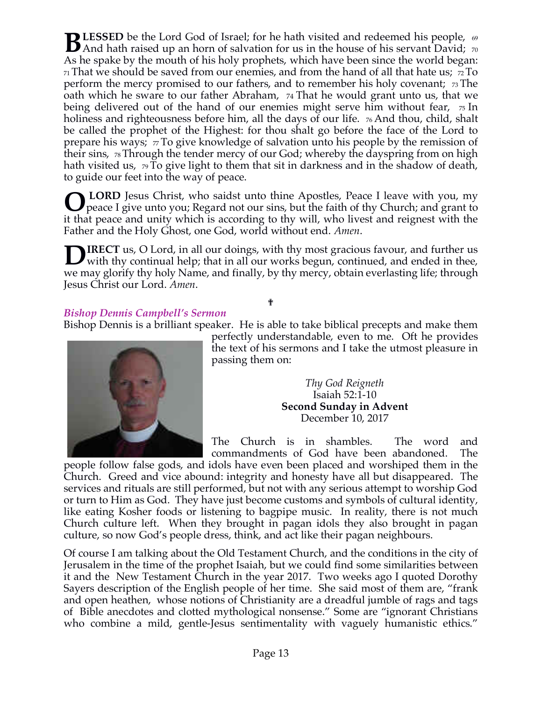**LESSED** be the Lord God of Israel; for he hath visited and redeemed his people,  $\omega$ **BLESSED** be the Lord God of Israel; for he hath visited and redeemed his people,  $\omega$ <br>And hath raised up an horn of salvation for us in the house of his servant David; 70 As he spake by the mouth of his holy prophets, which have been since the world began:  $71$  That we should be saved from our enemies, and from the hand of all that hate us;  $72$  To perform the mercy promised to our fathers, and to remember his holy covenant; 73 The oath which he sware to our father Abraham, 74 That he would grant unto us, that we being delivered out of the hand of our enemies might serve him without fear,  $\pi$  In holiness and righteousness before him, all the days of our life. <sub>76</sub> And thou, child, shalt be called the prophet of the Highest: for thou shalt go before the face of the Lord to prepare his ways;  $\pi$  To give knowledge of salvation unto his people by the remission of their sins, 78 Through the tender mercy of our God; whereby the dayspring from on high hath visited us, 79 To give light to them that sit in darkness and in the shadow of death, to guide our feet into the way of peace.

**LORD** Jesus Christ, who saidst unto thine Apostles, Peace I leave with you, my **O** LORD Jesus Christ, who saidst unto thine Apostles, Peace I leave with you, my peace I give unto you; Regard not our sins, but the faith of thy Church; and grant to it that peace and unity which is according to thy will, who livest and reignest with the Father and the Holy Ghost, one God, world without end. *Amen*.

**IRECT** us, O Lord, in all our doings, with thy most gracious favour, and further us with thy continual help; that in all our works begun, continued, and ended in thee, we may glorify thy holy Name, and finally, by thy mercy, obtain everlasting life; through Jesus Christ our Lord. *Amen*. **D**

## *Bishop Dennis Campbell's Sermon*

Bishop Dennis is a brilliant speaker. He is able to take biblical precepts and make them

✟



perfectly understandable, even to me. Oft he provides the text of his sermons and I take the utmost pleasure in passing them on:

> *Thy God Reigneth* Isaiah 52:1-10 **Second Sunday in Advent** December 10, 2017

The Church is in shambles. The word and commandments of God have been abandoned. The

people follow false gods, and idols have even been placed and worshiped them in the Church. Greed and vice abound: integrity and honesty have all but disappeared. The services and rituals are still performed, but not with any serious attempt to worship God or turn to Him as God. They have just become customs and symbols of cultural identity, like eating Kosher foods or listening to bagpipe music. In reality, there is not much Church culture left. When they brought in pagan idols they also brought in pagan culture, so now God's people dress, think, and act like their pagan neighbours.

Of course I am talking about the Old Testament Church, and the conditions in the city of Jerusalem in the time of the prophet Isaiah, but we could find some similarities between it and the New Testament Church in the year 2017. Two weeks ago I quoted Dorothy Sayers description of the English people of her time. She said most of them are, "frank and open heathen, whose notions of Christianity are a dreadful jumble of rags and tags of Bible anecdotes and clotted mythological nonsense." Some are "ignorant Christians who combine a mild, gentle-Jesus sentimentality with vaguely humanistic ethics."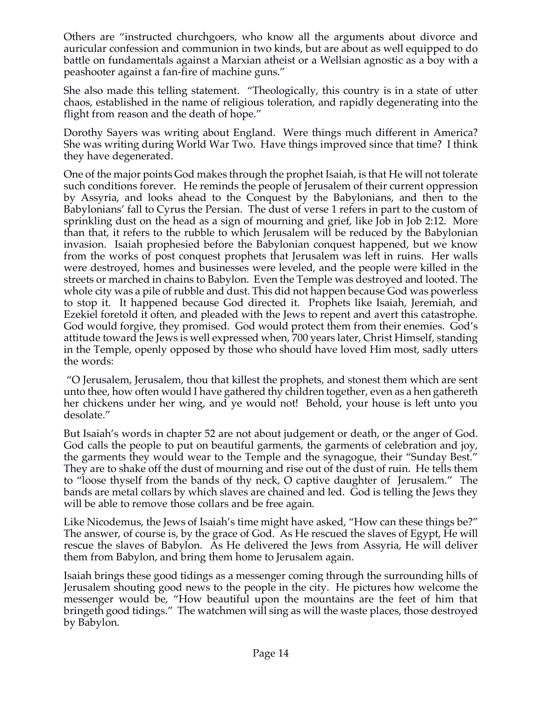Others are "instructed churchgoers, who know all the arguments about divorce and auricular confession and communion in two kinds, but are about as well equipped to do battle on fundamentals against a Marxian atheist or a Wellsian agnostic as a boy with a peashooter against a fan-fire of machine guns."

She also made this telling statement. "Theologically, this country is in a state of utter chaos, established in the name of religious toleration, and rapidly degenerating into the flight from reason and the death of hope."

Dorothy Sayers was writing about England. Were things much different in America? She was writing during World War Two. Have things improved since that time? I think they have degenerated.

One of the major points God makes through the prophet Isaiah, is that He will not tolerate such conditions forever. He reminds the people of Jerusalem of their current oppression by Assyria, and looks ahead to the Conquest by the Babylonians, and then to the Babylonians' fall to Cyrus the Persian. The dust of verse 1 refers in part to the custom of sprinkling dust on the head as a sign of mourning and grief, like Job in Job 2:12. More than that, it refers to the rubble to which Jerusalem will be reduced by the Babylonian invasion. Isaiah prophesied before the Babylonian conquest happened, but we know from the works of post conquest prophets that Jerusalem was left in ruins. Her walls were destroyed, homes and businesses were leveled, and the people were killed in the streets or marched in chains to Babylon. Even the Temple was destroyed and looted. The whole city was a pile of rubble and dust. This did not happen because God was powerless to stop it. It happened because God directed it. Prophets like Isaiah, Jeremiah, and Ezekiel foretold it often, and pleaded with the Jews to repent and avert this catastrophe. God would forgive, they promised. God would protect them from their enemies. God's attitude toward the Jews is well expressed when, 700 years later, Christ Himself, standing in the Temple, openly opposed by those who should have loved Him most, sadly utters the words:

"O Jerusalem, Jerusalem, thou that killest the prophets, and stonest them which are sent unto thee, how often would I have gathered thy children together, even as a hen gathereth her chickens under her wing, and ye would not! Behold, your house is left unto you desolate."

But Isaiah's words in chapter 52 are not about judgement or death, or the anger of God. God calls the people to put on beautiful garments, the garments of celebration and joy, the garments they would wear to the Temple and the synagogue, their "Sunday Best." They are to shake off the dust of mourning and rise out of the dust of ruin. He tells them to "loose thyself from the bands of thy neck, O captive daughter of Jerusalem." The bands are metal collars by which slaves are chained and led. God is telling the Jews they will be able to remove those collars and be free again.

Like Nicodemus, the Jews of Isaiah's time might have asked, "How can these things be?" The answer, of course is, by the grace of God. As He rescued the slaves of Egypt, He will rescue the slaves of Babylon. As He delivered the Jews from Assyria, He will deliver them from Babylon, and bring them home to Jerusalem again.

Isaiah brings these good tidings as a messenger coming through the surrounding hills of Jerusalem shouting good news to the people in the city. He pictures how welcome the messenger would be, "How beautiful upon the mountains are the feet of him that bringeth good tidings." The watchmen will sing as will the waste places, those destroyed by Babylon.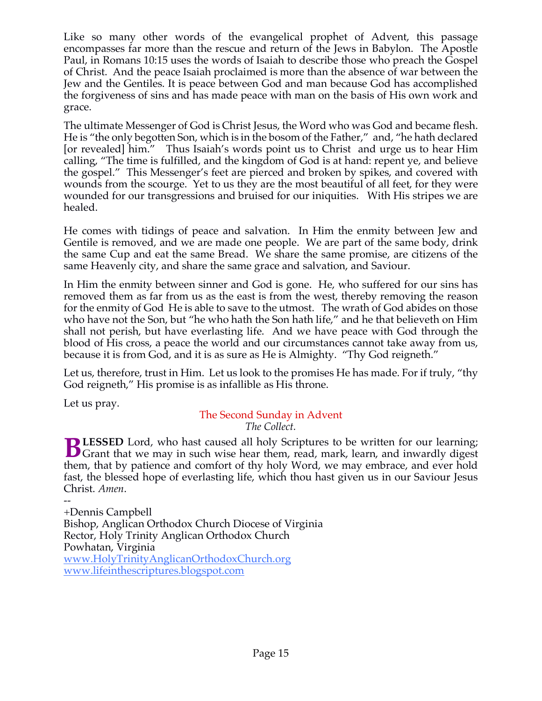Like so many other words of the evangelical prophet of Advent, this passage encompasses far more than the rescue and return of the Jews in Babylon. The Apostle Paul, in Romans 10:15 uses the words of Isaiah to describe those who preach the Gospel of Christ. And the peace Isaiah proclaimed is more than the absence of war between the Jew and the Gentiles. It is peace between God and man because God has accomplished the forgiveness of sins and has made peace with man on the basis of His own work and grace.

The ultimate Messenger of God is Christ Jesus, the Word who was God and became flesh. He is "the only begotten Son, which is in the bosom of the Father," and, "he hath declared [or revealed] him." Thus Isaiah's words point us to Christ and urge us to hear Him calling, "The time is fulfilled, and the kingdom of God is at hand: repent ye, and believe the gospel." This Messenger's feet are pierced and broken by spikes, and covered with wounds from the scourge. Yet to us they are the most beautiful of all feet, for they were wounded for our transgressions and bruised for our iniquities. With His stripes we are healed.

He comes with tidings of peace and salvation. In Him the enmity between Jew and Gentile is removed, and we are made one people. We are part of the same body, drink the same Cup and eat the same Bread. We share the same promise, are citizens of the same Heavenly city, and share the same grace and salvation, and Saviour.

In Him the enmity between sinner and God is gone. He, who suffered for our sins has removed them as far from us as the east is from the west, thereby removing the reason for the enmity of God He is able to save to the utmost. The wrath of God abides on those who have not the Son, but "he who hath the Son hath life," and he that believeth on Him shall not perish, but have everlasting life. And we have peace with God through the blood of His cross, a peace the world and our circumstances cannot take away from us, because it is from God, and it is as sure as He is Almighty. "Thy God reigneth."

Let us, therefore, trust in Him. Let us look to the promises He has made. For if truly, "thy God reigneth," His promise is as infallible as His throne.

Let us pray.

## The Second Sunday in Advent *The Collect.*

**LESSED** Lord, who hast caused all holy Scriptures to be written for our learning; **BLESSED** Lord, who hast caused all holy Scriptures to be written for our learning;<br>Grant that we may in such wise hear them, read, mark, learn, and inwardly digest them, that by patience and comfort of thy holy Word, we may embrace, and ever hold fast, the blessed hope of everlasting life, which thou hast given us in our Saviour Jesus Christ. *Amen*.

-- +Dennis Campbell Bishop, Anglican Orthodox Church Diocese of Virginia Rector, Holy Trinity Anglican Orthodox Church Powhatan, Virginia www.HolyTrinityAnglicanOrthodoxChurch.org www.lifeinthescriptures.blogspot.com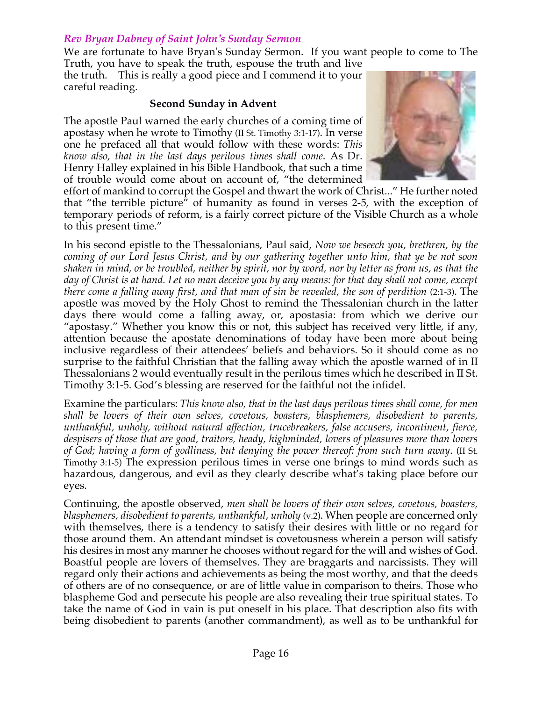#### *Rev Bryan Dabney of Saint John's Sunday Sermon*

We are fortunate to have Bryan's Sunday Sermon. If you want people to come to The Truth, you have to speak the truth, espouse the truth and live

the truth. This is really a good piece and I commend it to your careful reading.

#### **Second Sunday in Advent**

The apostle Paul warned the early churches of a coming time of apostasy when he wrote to Timothy (II St. Timothy 3:1-17). In verse one he prefaced all that would follow with these words: *This know also, that in the last days perilous times shall come*. As Dr. Henry Halley explained in his Bible Handbook, that such a time of trouble would come about on account of, "the determined



effort of mankind to corrupt the Gospel and thwart the work of Christ..." He further noted that "the terrible picture" of humanity as found in verses 2-5, with the exception of temporary periods of reform, is a fairly correct picture of the Visible Church as a whole to this present time."

In his second epistle to the Thessalonians, Paul said, *Now we beseech you, brethren, by the coming of our Lord Jesus Christ, and by our gathering together unto him, that ye be not soon shaken in mind, or be troubled, neither by spirit, nor by word, nor by letter as from us, as that the day of Christ is at hand. Let no man deceive you by any means: for that day shall not come, except there come a falling away first, and that man of sin be revealed, the son of perdition* (2:1-3). The apostle was moved by the Holy Ghost to remind the Thessalonian church in the latter days there would come a falling away, or, apostasia: from which we derive our "apostasy." Whether you know this or not, this subject has received very little, if any, attention because the apostate denominations of today have been more about being inclusive regardless of their attendees' beliefs and behaviors. So it should come as no surprise to the faithful Christian that the falling away which the apostle warned of in II Thessalonians 2 would eventually result in the perilous times which he described in II St. Timothy 3:1-5. God's blessing are reserved for the faithful not the infidel.

Examine the particulars: *This know also, that in the last days perilous times shall come, for men shall be lovers of their own selves, covetous, boasters, blasphemers, disobedient to parents, unthankful, unholy, without natural affection, trucebreakers, false accusers, incontinent, fierce, despisers of those that are good, traitors, heady, highminded, lovers of pleasures more than lovers of God; having a form of godliness, but denying the power thereof: from such turn away*. (II St. Timothy 3:1-5) The expression perilous times in verse one brings to mind words such as hazardous, dangerous, and evil as they clearly describe what's taking place before our eyes.

Continuing, the apostle observed, *men shall be lovers of their own selves, covetous, boasters, blasphemers, disobedient to parents, unthankful, unholy* (v.2). When people are concerned only with themselves, there is a tendency to satisfy their desires with little or no regard for those around them. An attendant mindset is covetousness wherein a person will satisfy his desires in most any manner he chooses without regard for the will and wishes of God. Boastful people are lovers of themselves. They are braggarts and narcissists. They will regard only their actions and achievements as being the most worthy, and that the deeds of others are of no consequence, or are of little value in comparison to theirs. Those who blaspheme God and persecute his people are also revealing their true spiritual states. To take the name of God in vain is put oneself in his place. That description also fits with being disobedient to parents (another commandment), as well as to be unthankful for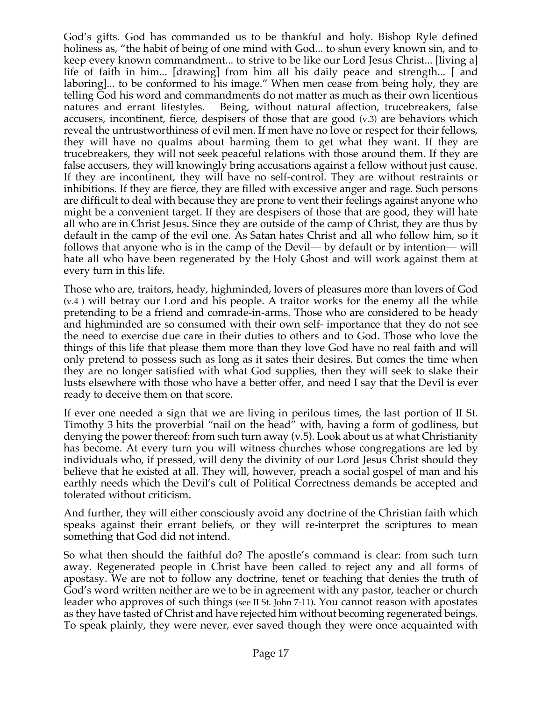God's gifts. God has commanded us to be thankful and holy. Bishop Ryle defined holiness as, "the habit of being of one mind with God... to shun every known sin, and to keep every known commandment... to strive to be like our Lord Jesus Christ... [living a] life of faith in him... [drawing] from him all his daily peace and strength... [ and laboring]... to be conformed to his image." When men cease from being holy, they are telling God his word and commandments do not matter as much as their own licentious natures and errant lifestyles. Being, without natural affection, trucebreakers, false accusers, incontinent, fierce, despisers of those that are good (v.3) are behaviors which reveal the untrustworthiness of evil men. If men have no love or respect for their fellows, they will have no qualms about harming them to get what they want. If they are trucebreakers, they will not seek peaceful relations with those around them. If they are false accusers, they will knowingly bring accusations against a fellow without just cause. If they are incontinent, they will have no self-control. They are without restraints or inhibitions. If they are fierce, they are filled with excessive anger and rage. Such persons are difficult to deal with because they are prone to vent their feelings against anyone who might be a convenient target. If they are despisers of those that are good, they will hate all who are in Christ Jesus. Since they are outside of the camp of Christ, they are thus by default in the camp of the evil one. As Satan hates Christ and all who follow him, so it follows that anyone who is in the camp of the Devil— by default or by intention— will hate all who have been regenerated by the Holy Ghost and will work against them at every turn in this life.

Those who are, traitors, heady, highminded, lovers of pleasures more than lovers of God (v.4 ) will betray our Lord and his people. A traitor works for the enemy all the while pretending to be a friend and comrade-in-arms. Those who are considered to be heady and highminded are so consumed with their own self- importance that they do not see the need to exercise due care in their duties to others and to God. Those who love the things of this life that please them more than they love God have no real faith and will only pretend to possess such as long as it sates their desires. But comes the time when they are no longer satisfied with what God supplies, then they will seek to slake their lusts elsewhere with those who have a better offer, and need I say that the Devil is ever ready to deceive them on that score.

If ever one needed a sign that we are living in perilous times, the last portion of II St. Timothy 3 hits the proverbial "nail on the head" with, having a form of godliness, but denying the power thereof: from such turn away (v.5). Look about us at what Christianity has become. At every turn you will witness churches whose congregations are led by individuals who, if pressed, will deny the divinity of our Lord Jesus Christ should they believe that he existed at all. They will, however, preach a social gospel of man and his earthly needs which the Devil's cult of Political Correctness demands be accepted and tolerated without criticism.

And further, they will either consciously avoid any doctrine of the Christian faith which speaks against their errant beliefs, or they will re-interpret the scriptures to mean something that God did not intend.

So what then should the faithful do? The apostle's command is clear: from such turn away. Regenerated people in Christ have been called to reject any and all forms of apostasy. We are not to follow any doctrine, tenet or teaching that denies the truth of God's word written neither are we to be in agreement with any pastor, teacher or church leader who approves of such things (see II St. John 7-11). You cannot reason with apostates as they have tasted of Christ and have rejected him without becoming regenerated beings. To speak plainly, they were never, ever saved though they were once acquainted with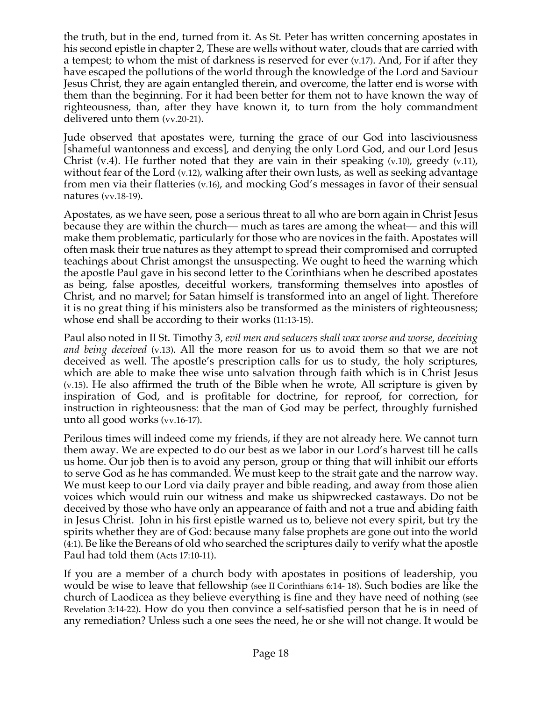the truth, but in the end, turned from it. As St. Peter has written concerning apostates in his second epistle in chapter 2, These are wells without water, clouds that are carried with a tempest; to whom the mist of darkness is reserved for ever (v.17). And, For if after they have escaped the pollutions of the world through the knowledge of the Lord and Saviour Jesus Christ, they are again entangled therein, and overcome, the latter end is worse with them than the beginning. For it had been better for them not to have known the way of righteousness, than, after they have known it, to turn from the holy commandment delivered unto them (vv.20-21).

Jude observed that apostates were, turning the grace of our God into lasciviousness [shameful wantonness and excess], and denying the only Lord God, and our Lord Jesus Christ (v.4). He further noted that they are vain in their speaking  $(v.10)$ , greedy  $(v.11)$ , without fear of the Lord (v.12), walking after their own lusts, as well as seeking advantage from men via their flatteries (v.16), and mocking God's messages in favor of their sensual natures (vv.18-19).

Apostates, as we have seen, pose a serious threat to all who are born again in Christ Jesus because they are within the church— much as tares are among the wheat— and this will make them problematic, particularly for those who are novices in the faith. Apostates will often mask their true natures as they attempt to spread their compromised and corrupted teachings about Christ amongst the unsuspecting. We ought to heed the warning which the apostle Paul gave in his second letter to the Corinthians when he described apostates as being, false apostles, deceitful workers, transforming themselves into apostles of Christ, and no marvel; for Satan himself is transformed into an angel of light. Therefore it is no great thing if his ministers also be transformed as the ministers of righteousness; whose end shall be according to their works (11:13-15).

Paul also noted in II St. Timothy 3, *evil men and seducers shall wax worse and worse, deceiving and being deceived* (v.13). All the more reason for us to avoid them so that we are not deceived as well. The apostle's prescription calls for us to study, the holy scriptures, which are able to make thee wise unto salvation through faith which is in Christ Jesus (v.15). He also affirmed the truth of the Bible when he wrote, All scripture is given by inspiration of God, and is profitable for doctrine, for reproof, for correction, for instruction in righteousness: that the man of God may be perfect, throughly furnished unto all good works (vv.16-17).

Perilous times will indeed come my friends, if they are not already here. We cannot turn them away. We are expected to do our best as we labor in our Lord's harvest till he calls us home. Our job then is to avoid any person, group or thing that will inhibit our efforts to serve God as he has commanded. We must keep to the strait gate and the narrow way. We must keep to our Lord via daily prayer and bible reading, and away from those alien voices which would ruin our witness and make us shipwrecked castaways. Do not be deceived by those who have only an appearance of faith and not a true and abiding faith in Jesus Christ. John in his first epistle warned us to, believe not every spirit, but try the spirits whether they are of God: because many false prophets are gone out into the world (4:1). Be like the Bereans of old who searched the scriptures daily to verify what the apostle Paul had told them (Acts 17:10-11).

If you are a member of a church body with apostates in positions of leadership, you would be wise to leave that fellowship (see II Corinthians 6:14- 18). Such bodies are like the church of Laodicea as they believe everything is fine and they have need of nothing (see Revelation 3:14-22). How do you then convince a self-satisfied person that he is in need of any remediation? Unless such a one sees the need, he or she will not change. It would be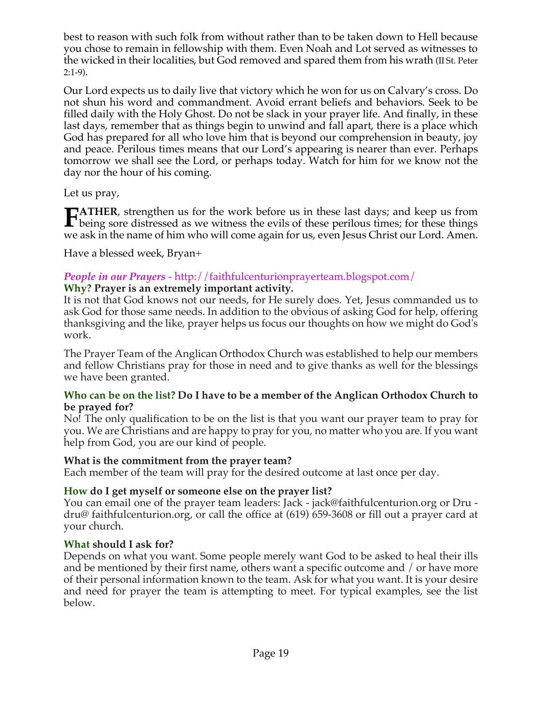best to reason with such folk from without rather than to be taken down to Hell because you chose to remain in fellowship with them. Even Noah and Lot served as witnesses to the wicked in their localities, but God removed and spared them from his wrath (II St. Peter 2:1-9).

Our Lord expects us to daily live that victory which he won for us on Calvary's cross. Do not shun his word and commandment. Avoid errant beliefs and behaviors. Seek to be filled daily with the Holy Ghost. Do not be slack in your prayer life. And finally, in these last days, remember that as things begin to unwind and fall apart, there is a place which God has prepared for all who love him that is beyond our comprehension in beauty, joy and peace. Perilous times means that our Lord's appearing is nearer than ever. Perhaps tomorrow we shall see the Lord, or perhaps today. Watch for him for we know not the day nor the hour of his coming.

Let us pray,

**ATHER**, strengthen us for the work before us in these last days; and keep us from **FATHER**, strengthen us for the work before us in these last days; and keep us from being sore distressed as we witness the evils of these perilous times; for these things we call in the name of him who will same again for we ask in the name of him who will come again for us, even Jesus Christ our Lord. Amen.

Have a blessed week, Bryan+

## *People in our Prayers* - http://faithfulcenturionprayerteam.blogspot.com/

#### **Why? Prayer is an extremely important activity.**

It is not that God knows not our needs, for He surely does. Yet, Jesus commanded us to ask God for those same needs. In addition to the obvious of asking God for help, offering thanksgiving and the like, prayer helps us focus our thoughts on how we might do God's work.

The Prayer Team of the Anglican Orthodox Church was established to help our members and fellow Christians pray for those in need and to give thanks as well for the blessings we have been granted.

#### **Who can be on the list? Do I have to be a member of the Anglican Orthodox Church to be prayed for?**

No! The only qualification to be on the list is that you want our prayer team to pray for you. We are Christians and are happy to pray for you, no matter who you are. If you want help from God, you are our kind of people.

#### **What is the commitment from the prayer team?**

Each member of the team will pray for the desired outcome at last once per day.

## **How do I get myself or someone else on the prayer list?**

You can email one of the prayer team leaders: Jack - jack@faithfulcenturion.org or Dru dru@ faithfulcenturion.org, or call the office at (619) 659-3608 or fill out a prayer card at your church.

#### **What should I ask for?**

Depends on what you want. Some people merely want God to be asked to heal their ills and be mentioned by their first name, others want a specific outcome and / or have more of their personal information known to the team. Ask for what you want. It is your desire and need for prayer the team is attempting to meet. For typical examples, see the list below.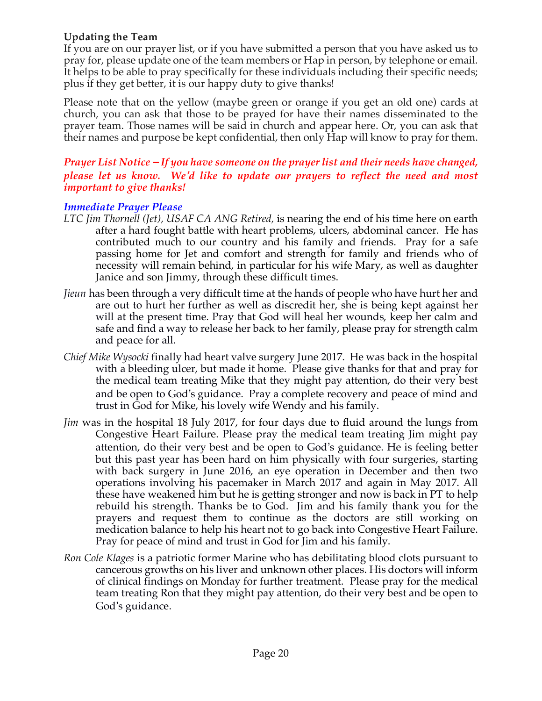## **Updating the Team**

If you are on our prayer list, or if you have submitted a person that you have asked us to pray for, please update one of the team members or Hap in person, by telephone or email. It helps to be able to pray specifically for these individuals including their specific needs; plus if they get better, it is our happy duty to give thanks!

Please note that on the yellow (maybe green or orange if you get an old one) cards at church, you can ask that those to be prayed for have their names disseminated to the prayer team. Those names will be said in church and appear here. Or, you can ask that their names and purpose be kept confidential, then only Hap will know to pray for them.

#### *Prayer List Notice – If you have someone on the prayer list and their needs have changed, please let us know. We'd like to update our prayers to reflect the need and most important to give thanks!*

## *Immediate Prayer Please*

- *LTC Jim Thornell (Jet), USAF CA ANG Retired,* is nearing the end of his time here on earth after a hard fought battle with heart problems, ulcers, abdominal cancer. He has contributed much to our country and his family and friends. Pray for a safe passing home for Jet and comfort and strength for family and friends who of necessity will remain behind, in particular for his wife Mary, as well as daughter Janice and son Jimmy, through these difficult times.
- *Jieun* has been through a very difficult time at the hands of people who have hurt her and are out to hurt her further as well as discredit her, she is being kept against her will at the present time. Pray that God will heal her wounds, keep her calm and safe and find a way to release her back to her family, please pray for strength calm and peace for all.
- *Chief Mike Wysocki* finally had heart valve surgery June 2017. He was back in the hospital with a bleeding ulcer, but made it home. Please give thanks for that and pray for the medical team treating Mike that they might pay attention, do their very best and be open to God's guidance. Pray a complete recovery and peace of mind and trust in God for Mike, his lovely wife Wendy and his family.
- *Jim* was in the hospital 18 July 2017, for four days due to fluid around the lungs from Congestive Heart Failure. Please pray the medical team treating Jim might pay attention, do their very best and be open to God's guidance. He is feeling better but this past year has been hard on him physically with four surgeries, starting with back surgery in June 2016, an eye operation in December and then two operations involving his pacemaker in March 2017 and again in May 2017. All these have weakened him but he is getting stronger and now is back in PT to help rebuild his strength. Thanks be to God. Jim and his family thank you for the prayers and request them to continue as the doctors are still working on medication balance to help his heart not to go back into Congestive Heart Failure. Pray for peace of mind and trust in God for Jim and his family.
- *Ron Cole Klages* is a patriotic former Marine who has debilitating blood clots pursuant to cancerous growths on his liver and unknown other places. His doctors will inform of clinical findings on Monday for further treatment. Please pray for the medical team treating Ron that they might pay attention, do their very best and be open to God's guidance.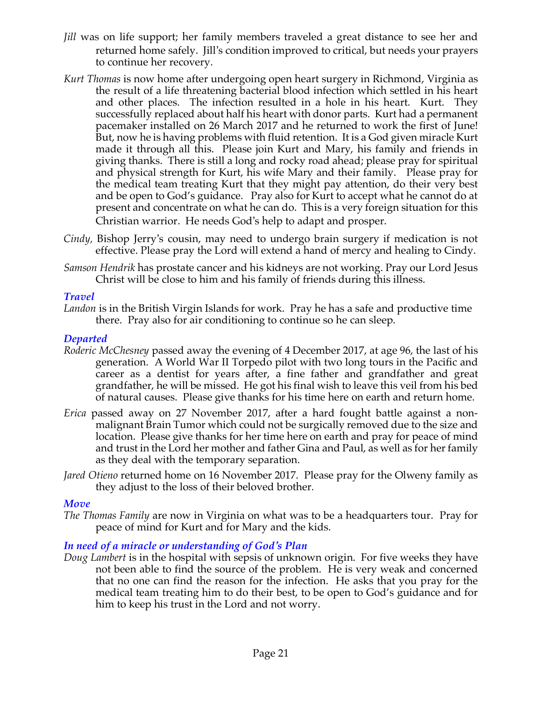- *Jill* was on life support; her family members traveled a great distance to see her and returned home safely. Jill's condition improved to critical, but needs your prayers to continue her recovery.
- *Kurt Thomas* is now home after undergoing open heart surgery in Richmond, Virginia as the result of a life threatening bacterial blood infection which settled in his heart and other places. The infection resulted in a hole in his heart. Kurt. They successfully replaced about half his heart with donor parts. Kurt had a permanent pacemaker installed on 26 March 2017 and he returned to work the first of June! But, now he is having problems with fluid retention. It is a God given miracle Kurt made it through all this. Please join Kurt and Mary, his family and friends in giving thanks. There is still a long and rocky road ahead; please pray for spiritual and physical strength for Kurt, his wife Mary and their family. Please pray for the medical team treating Kurt that they might pay attention, do their very best and be open to God's guidance. Pray also for Kurt to accept what he cannot do at present and concentrate on what he can do. This is a very foreign situation for this Christian warrior. He needs God's help to adapt and prosper.
- *Cindy,* Bishop Jerry's cousin, may need to undergo brain surgery if medication is not effective. Please pray the Lord will extend a hand of mercy and healing to Cindy.
- *Samson Hendrik* has prostate cancer and his kidneys are not working. Pray our Lord Jesus Christ will be close to him and his family of friends during this illness.

## *Travel*

Landon is in the British Virgin Islands for work. Pray he has a safe and productive time there. Pray also for air conditioning to continue so he can sleep.

#### *Departed*

- *Roderic McChesney* passed away the evening of 4 December 2017, at age 96, the last of his generation. A World War II Torpedo pilot with two long tours in the Pacific and career as a dentist for years after, a fine father and grandfather and great grandfather, he will be missed. He got his final wish to leave this veil from his bed of natural causes. Please give thanks for his time here on earth and return home.
- *Erica* passed away on 27 November 2017, after a hard fought battle against a nonmalignant Brain Tumor which could not be surgically removed due to the size and location. Please give thanks for her time here on earth and pray for peace of mind and trust in the Lord her mother and father Gina and Paul, as well as for her family as they deal with the temporary separation.
- *Jared Otieno* returned home on 16 November 2017. Please pray for the Olweny family as they adjust to the loss of their beloved brother*.*

## *Move*

*The Thomas Family* are now in Virginia on what was to be a headquarters tour. Pray for peace of mind for Kurt and for Mary and the kids.

## *In need of a miracle or understanding of God's Plan*

*Doug Lambert* is in the hospital with sepsis of unknown origin. For five weeks they have not been able to find the source of the problem. He is very weak and concerned that no one can find the reason for the infection. He asks that you pray for the medical team treating him to do their best, to be open to God's guidance and for him to keep his trust in the Lord and not worry.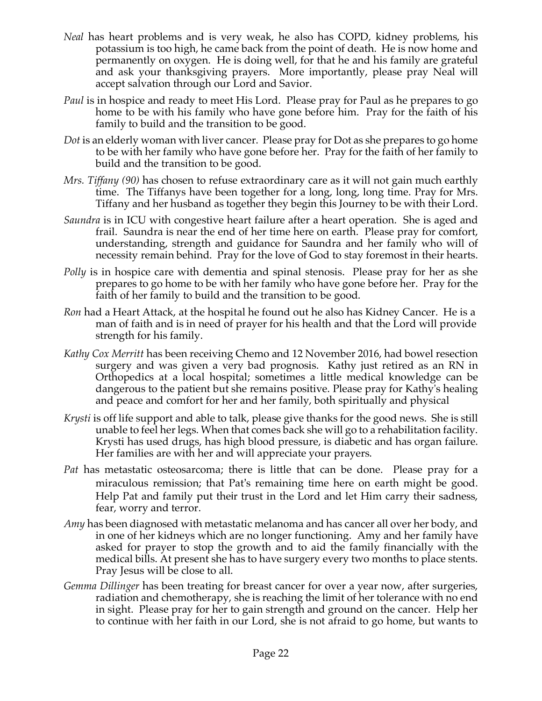- *Neal* has heart problems and is very weak, he also has COPD, kidney problems, his potassium is too high, he came back from the point of death. He is now home and permanently on oxygen. He is doing well, for that he and his family are grateful and ask your thanksgiving prayers. More importantly, please pray Neal will accept salvation through our Lord and Savior.
- *Paul* is in hospice and ready to meet His Lord. Please pray for Paul as he prepares to go home to be with his family who have gone before him. Pray for the faith of his family to build and the transition to be good.
- *Dot* is an elderly woman with liver cancer. Please pray for Dot as she prepares to go home to be with her family who have gone before her. Pray for the faith of her family to build and the transition to be good.
- *Mrs. Tiffany (90)* has chosen to refuse extraordinary care as it will not gain much earthly time. The Tiffanys have been together for a long, long, long time. Pray for Mrs. Tiffany and her husband as together they begin this Journey to be with their Lord.
- *Saundra* is in ICU with congestive heart failure after a heart operation. She is aged and frail. Saundra is near the end of her time here on earth. Please pray for comfort, understanding, strength and guidance for Saundra and her family who will of necessity remain behind. Pray for the love of God to stay foremost in their hearts.
- *Polly* is in hospice care with dementia and spinal stenosis. Please pray for her as she prepares to go home to be with her family who have gone before her. Pray for the faith of her family to build and the transition to be good.
- *Ron* had a Heart Attack, at the hospital he found out he also has Kidney Cancer. He is a man of faith and is in need of prayer for his health and that the Lord will provide strength for his family.
- *Kathy Cox Merritt* has been receiving Chemo and 12 November 2016, had bowel resection surgery and was given a very bad prognosis. Kathy just retired as an RN in Orthopedics at a local hospital; sometimes a little medical knowledge can be dangerous to the patient but she remains positive. Please pray for Kathy's healing and peace and comfort for her and her family, both spiritually and physical
- *Krysti* is off life support and able to talk, please give thanks for the good news. She is still unable to feel her legs. When that comes back she will go to a rehabilitation facility. Krysti has used drugs, has high blood pressure, is diabetic and has organ failure. Her families are with her and will appreciate your prayers.
- *Pat* has metastatic osteosarcoma; there is little that can be done. Please pray for a miraculous remission; that Pat's remaining time here on earth might be good. Help Pat and family put their trust in the Lord and let Him carry their sadness, fear, worry and terror.
- *Amy* has been diagnosed with metastatic melanoma and has cancer all over her body, and in one of her kidneys which are no longer functioning. Amy and her family have asked for prayer to stop the growth and to aid the family financially with the medical bills. At present she has to have surgery every two months to place stents. Pray Jesus will be close to all.
- *Gemma Dillinger* has been treating for breast cancer for over a year now, after surgeries, radiation and chemotherapy, she is reaching the limit of her tolerance with no end in sight. Please pray for her to gain strength and ground on the cancer. Help her to continue with her faith in our Lord, she is not afraid to go home, but wants to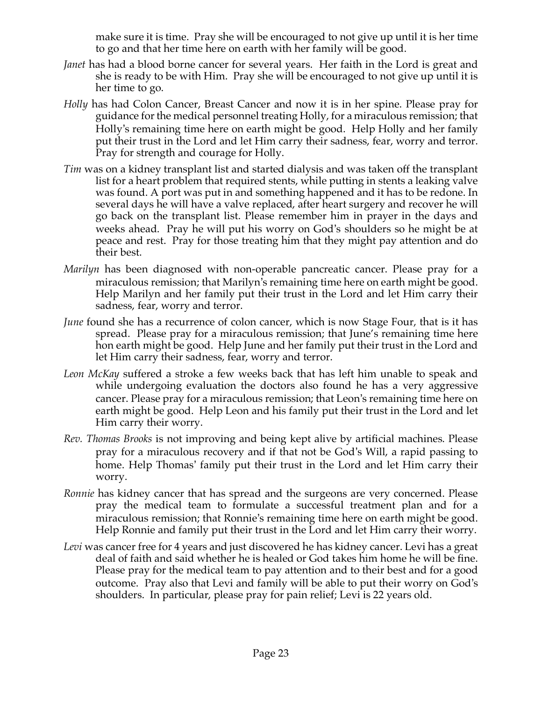make sure it is time. Pray she will be encouraged to not give up until it is her time to go and that her time here on earth with her family will be good.

- *Janet* has had a blood borne cancer for several years. Her faith in the Lord is great and she is ready to be with Him. Pray she will be encouraged to not give up until it is her time to go.
- *Holly* has had Colon Cancer, Breast Cancer and now it is in her spine. Please pray for guidance for the medical personnel treating Holly, for a miraculous remission; that Holly's remaining time here on earth might be good. Help Holly and her family put their trust in the Lord and let Him carry their sadness, fear, worry and terror. Pray for strength and courage for Holly.
- *Tim* was on a kidney transplant list and started dialysis and was taken off the transplant list for a heart problem that required stents, while putting in stents a leaking valve was found. A port was put in and something happened and it has to be redone. In several days he will have a valve replaced, after heart surgery and recover he will go back on the transplant list. Please remember him in prayer in the days and weeks ahead. Pray he will put his worry on God's shoulders so he might be at peace and rest. Pray for those treating him that they might pay attention and do their best.
- *Marilyn* has been diagnosed with non-operable pancreatic cancer. Please pray for a miraculous remission; that Marilyn's remaining time here on earth might be good. Help Marilyn and her family put their trust in the Lord and let Him carry their sadness, fear, worry and terror.
- *June* found she has a recurrence of colon cancer, which is now Stage Four, that is it has spread. Please pray for a miraculous remission; that June's remaining time here hon earth might be good. Help June and her family put their trust in the Lord and let Him carry their sadness, fear, worry and terror.
- *Leon McKay* suffered a stroke a few weeks back that has left him unable to speak and while undergoing evaluation the doctors also found he has a very aggressive cancer. Please pray for a miraculous remission; that Leon's remaining time here on earth might be good. Help Leon and his family put their trust in the Lord and let Him carry their worry.
- *Rev. Thomas Brooks* is not improving and being kept alive by artificial machines. Please pray for a miraculous recovery and if that not be God's Will, a rapid passing to home. Help Thomas' family put their trust in the Lord and let Him carry their worry.
- *Ronnie* has kidney cancer that has spread and the surgeons are very concerned. Please pray the medical team to formulate a successful treatment plan and for a miraculous remission; that Ronnie's remaining time here on earth might be good. Help Ronnie and family put their trust in the Lord and let Him carry their worry.
- Levi was cancer free for 4 years and just discovered he has kidney cancer. Levi has a great deal of faith and said whether he is healed or God takes him home he will be fine. Please pray for the medical team to pay attention and to their best and for a good outcome. Pray also that Levi and family will be able to put their worry on God's shoulders. In particular, please pray for pain relief; Levi is 22 years old.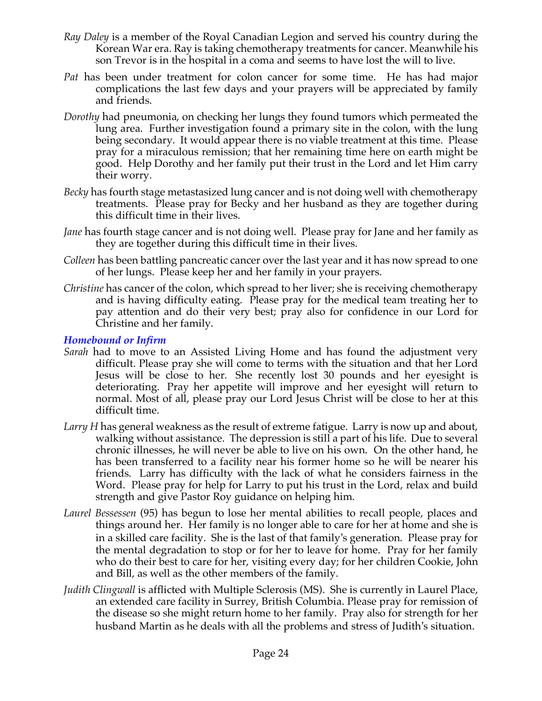- *Ray Daley* is a member of the Royal Canadian Legion and served his country during the Korean War era. Ray is taking chemotherapy treatments for cancer. Meanwhile his son Trevor is in the hospital in a coma and seems to have lost the will to live.
- *Pat* has been under treatment for colon cancer for some time. He has had major complications the last few days and your prayers will be appreciated by family and friends.
- *Dorothy* had pneumonia, on checking her lungs they found tumors which permeated the lung area. Further investigation found a primary site in the colon, with the lung being secondary. It would appear there is no viable treatment at this time. Please pray for a miraculous remission; that her remaining time here on earth might be good. Help Dorothy and her family put their trust in the Lord and let Him carry their worry.
- *Becky* has fourth stage metastasized lung cancer and is not doing well with chemotherapy treatments. Please pray for Becky and her husband as they are together during this difficult time in their lives.
- *Jane* has fourth stage cancer and is not doing well. Please pray for Jane and her family as they are together during this difficult time in their lives.
- *Colleen* has been battling pancreatic cancer over the last year and it has now spread to one of her lungs. Please keep her and her family in your prayers.
- *Christine* has cancer of the colon, which spread to her liver; she is receiving chemotherapy and is having difficulty eating. Please pray for the medical team treating her to pay attention and do their very best; pray also for confidence in our Lord for Christine and her family.

#### *Homebound or Infirm*

- *Sarah* had to move to an Assisted Living Home and has found the adjustment very difficult. Please pray she will come to terms with the situation and that her Lord Jesus will be close to her. She recently lost 30 pounds and her eyesight is deteriorating. Pray her appetite will improve and her eyesight will return to normal. Most of all, please pray our Lord Jesus Christ will be close to her at this difficult time.
- *Larry H* has general weakness as the result of extreme fatigue. Larry is now up and about, walking without assistance. The depression is still a part of his life. Due to several chronic illnesses, he will never be able to live on his own. On the other hand, he has been transferred to a facility near his former home so he will be nearer his friends. Larry has difficulty with the lack of what he considers fairness in the Word. Please pray for help for Larry to put his trust in the Lord, relax and build strength and give Pastor Roy guidance on helping him.
- *Laurel Bessessen* (95) has begun to lose her mental abilities to recall people, places and things around her. Her family is no longer able to care for her at home and she is in a skilled care facility. She is the last of that family's generation. Please pray for the mental degradation to stop or for her to leave for home. Pray for her family who do their best to care for her, visiting every day; for her children Cookie, John and Bill, as well as the other members of the family.
- *Judith Clingwall* is afflicted with Multiple Sclerosis (MS). She is currently in Laurel Place, an extended care facility in Surrey, British Columbia. Please pray for remission of the disease so she might return home to her family. Pray also for strength for her husband Martin as he deals with all the problems and stress of Judith's situation.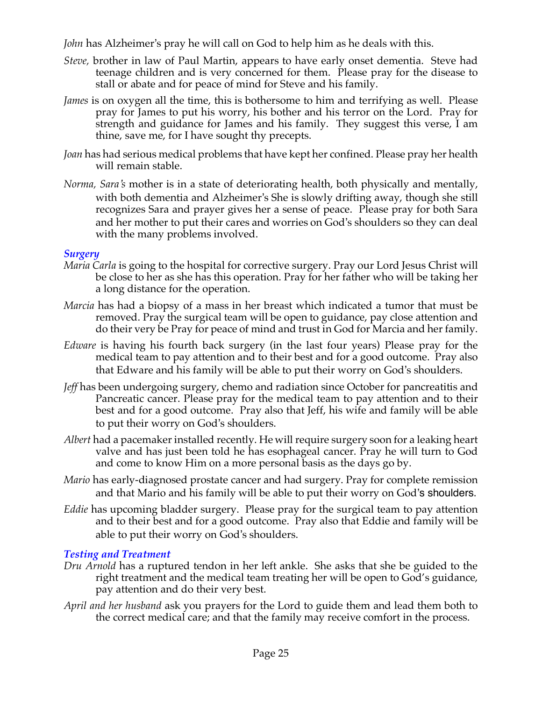*John* has Alzheimer's pray he will call on God to help him as he deals with this.

- *Steve,* brother in law of Paul Martin, appears to have early onset dementia. Steve had teenage children and is very concerned for them. Please pray for the disease to stall or abate and for peace of mind for Steve and his family.
- *James* is on oxygen all the time, this is bothersome to him and terrifying as well. Please pray for James to put his worry, his bother and his terror on the Lord. Pray for strength and guidance for James and his family. They suggest this verse, I am thine, save me, for I have sought thy precepts.
- *Joan* has had serious medical problems that have kept her confined. Please pray her health will remain stable.
- *Norma, Sara's* mother is in a state of deteriorating health, both physically and mentally, with both dementia and Alzheimer's She is slowly drifting away, though she still recognizes Sara and prayer gives her a sense of peace. Please pray for both Sara and her mother to put their cares and worries on God's shoulders so they can deal with the many problems involved.

#### *Surgery*

- *Maria Carla* is going to the hospital for corrective surgery. Pray our Lord Jesus Christ will be close to her as she has this operation. Pray for her father who will be taking her a long distance for the operation.
- *Marcia* has had a biopsy of a mass in her breast which indicated a tumor that must be removed. Pray the surgical team will be open to guidance, pay close attention and do their very be Pray for peace of mind and trust in God for Marcia and her family.
- *Edware* is having his fourth back surgery (in the last four years) Please pray for the medical team to pay attention and to their best and for a good outcome. Pray also that Edware and his family will be able to put their worry on God's shoulders.
- *Jeff* has been undergoing surgery, chemo and radiation since October for pancreatitis and Pancreatic cancer. Please pray for the medical team to pay attention and to their best and for a good outcome. Pray also that Jeff, his wife and family will be able to put their worry on God's shoulders.
- *Albert* had a pacemaker installed recently. He will require surgery soon for a leaking heart valve and has just been told he has esophageal cancer. Pray he will turn to God and come to know Him on a more personal basis as the days go by.
- *Mario* has early-diagnosed prostate cancer and had surgery. Pray for complete remission and that Mario and his family will be able to put their worry on God's shoulders.
- *Eddie* has upcoming bladder surgery. Please pray for the surgical team to pay attention and to their best and for a good outcome. Pray also that Eddie and family will be able to put their worry on God's shoulders.

## *Testing and Treatment*

- *Dru Arnold* has a ruptured tendon in her left ankle. She asks that she be guided to the right treatment and the medical team treating her will be open to God's guidance, pay attention and do their very best.
- *April and her husband* ask you prayers for the Lord to guide them and lead them both to the correct medical care; and that the family may receive comfort in the process.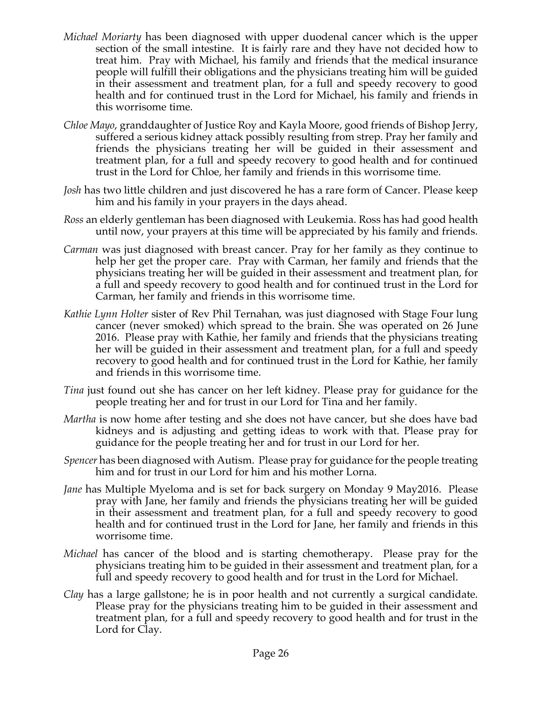- *Michael Moriarty* has been diagnosed with upper duodenal cancer which is the upper section of the small intestine. It is fairly rare and they have not decided how to treat him. Pray with Michael, his family and friends that the medical insurance people will fulfill their obligations and the physicians treating him will be guided in their assessment and treatment plan, for a full and speedy recovery to good health and for continued trust in the Lord for Michael, his family and friends in this worrisome time.
- *Chloe Mayo*, granddaughter of Justice Roy and Kayla Moore, good friends of Bishop Jerry, suffered a serious kidney attack possibly resulting from strep. Pray her family and friends the physicians treating her will be guided in their assessment and treatment plan, for a full and speedy recovery to good health and for continued trust in the Lord for Chloe, her family and friends in this worrisome time.
- *Josh* has two little children and just discovered he has a rare form of Cancer. Please keep him and his family in your prayers in the days ahead.
- *Ross* an elderly gentleman has been diagnosed with Leukemia. Ross has had good health until now, your prayers at this time will be appreciated by his family and friends.
- *Carman* was just diagnosed with breast cancer. Pray for her family as they continue to help her get the proper care. Pray with Carman, her family and friends that the physicians treating her will be guided in their assessment and treatment plan, for a full and speedy recovery to good health and for continued trust in the Lord for Carman, her family and friends in this worrisome time.
- *Kathie Lynn Holter* sister of Rev Phil Ternahan, was just diagnosed with Stage Four lung cancer (never smoked) which spread to the brain. She was operated on 26 June 2016. Please pray with Kathie, her family and friends that the physicians treating her will be guided in their assessment and treatment plan, for a full and speedy recovery to good health and for continued trust in the Lord for Kathie, her family and friends in this worrisome time.
- *Tina* just found out she has cancer on her left kidney. Please pray for guidance for the people treating her and for trust in our Lord for Tina and her family.
- *Martha* is now home after testing and she does not have cancer, but she does have bad kidneys and is adjusting and getting ideas to work with that. Please pray for guidance for the people treating her and for trust in our Lord for her.
- *Spencer* has been diagnosed with Autism. Please pray for guidance for the people treating him and for trust in our Lord for him and his mother Lorna.
- *Jane* has Multiple Myeloma and is set for back surgery on Monday 9 May2016. Please pray with Jane, her family and friends the physicians treating her will be guided in their assessment and treatment plan, for a full and speedy recovery to good health and for continued trust in the Lord for Jane, her family and friends in this worrisome time.
- *Michael* has cancer of the blood and is starting chemotherapy. Please pray for the physicians treating him to be guided in their assessment and treatment plan, for a full and speedy recovery to good health and for trust in the Lord for Michael.
- *Clay* has a large gallstone; he is in poor health and not currently a surgical candidate. Please pray for the physicians treating him to be guided in their assessment and treatment plan, for a full and speedy recovery to good health and for trust in the Lord for Clay.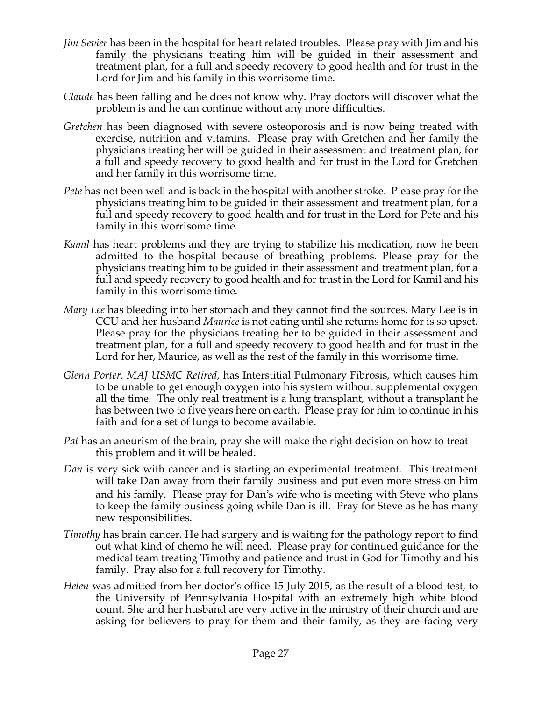- *Jim Sevier* has been in the hospital for heart related troubles. Please pray with Jim and his family the physicians treating him will be guided in their assessment and treatment plan, for a full and speedy recovery to good health and for trust in the Lord for Jim and his family in this worrisome time.
- *Claude* has been falling and he does not know why. Pray doctors will discover what the problem is and he can continue without any more difficulties.
- *Gretchen* has been diagnosed with severe osteoporosis and is now being treated with exercise, nutrition and vitamins. Please pray with Gretchen and her family the physicians treating her will be guided in their assessment and treatment plan, for a full and speedy recovery to good health and for trust in the Lord for Gretchen and her family in this worrisome time.
- *Pete* has not been well and is back in the hospital with another stroke. Please pray for the physicians treating him to be guided in their assessment and treatment plan, for a full and speedy recovery to good health and for trust in the Lord for Pete and his family in this worrisome time.
- *Kamil* has heart problems and they are trying to stabilize his medication, now he been admitted to the hospital because of breathing problems. Please pray for the physicians treating him to be guided in their assessment and treatment plan, for a full and speedy recovery to good health and for trust in the Lord for Kamil and his family in this worrisome time.
- *Mary Lee* has bleeding into her stomach and they cannot find the sources. Mary Lee is in CCU and her husband *Maurice* is not eating until she returns home for is so upset. Please pray for the physicians treating her to be guided in their assessment and treatment plan, for a full and speedy recovery to good health and for trust in the Lord for her, Maurice, as well as the rest of the family in this worrisome time.
- *Glenn Porter, MAJ USMC Retired,* has Interstitial Pulmonary Fibrosis, which causes him to be unable to get enough oxygen into his system without supplemental oxygen all the time. The only real treatment is a lung transplant, without a transplant he has between two to five years here on earth. Please pray for him to continue in his faith and for a set of lungs to become available.
- *Pat* has an aneurism of the brain, pray she will make the right decision on how to treat this problem and it will be healed.
- *Dan* is very sick with cancer and is starting an experimental treatment. This treatment will take Dan away from their family business and put even more stress on him and his family. Please pray for Dan's wife who is meeting with Steve who plans to keep the family business going while Dan is ill. Pray for Steve as he has many new responsibilities.
- *Timothy* has brain cancer. He had surgery and is waiting for the pathology report to find out what kind of chemo he will need. Please pray for continued guidance for the medical team treating Timothy and patience and trust in God for Timothy and his family. Pray also for a full recovery for Timothy.
- *Helen* was admitted from her doctor's office 15 July 2015, as the result of a blood test, to the University of Pennsylvania Hospital with an extremely high white blood count. She and her husband are very active in the ministry of their church and are asking for believers to pray for them and their family, as they are facing very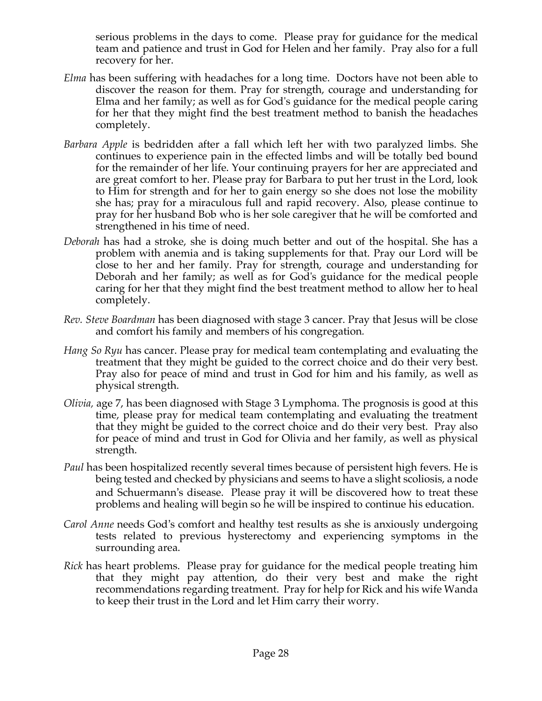serious problems in the days to come. Please pray for guidance for the medical team and patience and trust in God for Helen and her family. Pray also for a full recovery for her.

- *Elma* has been suffering with headaches for a long time. Doctors have not been able to discover the reason for them. Pray for strength, courage and understanding for Elma and her family; as well as for God's guidance for the medical people caring for her that they might find the best treatment method to banish the headaches completely.
- *Barbara Apple* is bedridden after a fall which left her with two paralyzed limbs. She continues to experience pain in the effected limbs and will be totally bed bound for the remainder of her life. Your continuing prayers for her are appreciated and are great comfort to her. Please pray for Barbara to put her trust in the Lord, look to Him for strength and for her to gain energy so she does not lose the mobility she has; pray for a miraculous full and rapid recovery. Also, please continue to pray for her husband Bob who is her sole caregiver that he will be comforted and strengthened in his time of need.
- *Deborah* has had a stroke, she is doing much better and out of the hospital. She has a problem with anemia and is taking supplements for that. Pray our Lord will be close to her and her family. Pray for strength, courage and understanding for Deborah and her family; as well as for God's guidance for the medical people caring for her that they might find the best treatment method to allow her to heal completely.
- *Rev. Steve Boardman* has been diagnosed with stage 3 cancer. Pray that Jesus will be close and comfort his family and members of his congregation*.*
- *Hang So Ryu* has cancer. Please pray for medical team contemplating and evaluating the treatment that they might be guided to the correct choice and do their very best. Pray also for peace of mind and trust in God for him and his family, as well as physical strength.
- *Olivia,* age 7, has been diagnosed with Stage 3 Lymphoma. The prognosis is good at this time, please pray for medical team contemplating and evaluating the treatment that they might be guided to the correct choice and do their very best. Pray also for peace of mind and trust in God for Olivia and her family, as well as physical strength.
- *Paul* has been hospitalized recently several times because of persistent high fevers. He is being tested and checked by physicians and seems to have a slight scoliosis, a node and Schuermann's disease. Please pray it will be discovered how to treat these problems and healing will begin so he will be inspired to continue his education.
- *Carol Anne* needs God's comfort and healthy test results as she is anxiously undergoing tests related to previous hysterectomy and experiencing symptoms in the surrounding area.
- *Rick* has heart problems. Please pray for guidance for the medical people treating him that they might pay attention, do their very best and make the right recommendations regarding treatment. Pray for help for Rick and his wife Wanda to keep their trust in the Lord and let Him carry their worry.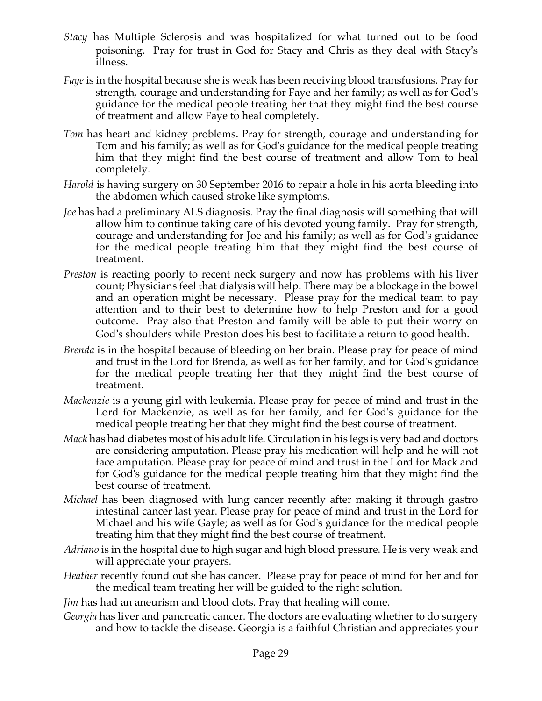- *Stacy* has Multiple Sclerosis and was hospitalized for what turned out to be food poisoning. Pray for trust in God for Stacy and Chris as they deal with Stacy's illness.
- *Faye* is in the hospital because she is weak has been receiving blood transfusions. Pray for strength, courage and understanding for Faye and her family; as well as for God's guidance for the medical people treating her that they might find the best course of treatment and allow Faye to heal completely.
- *Tom* has heart and kidney problems. Pray for strength, courage and understanding for Tom and his family; as well as for God's guidance for the medical people treating him that they might find the best course of treatment and allow Tom to heal completely.
- *Harold* is having surgery on 30 September 2016 to repair a hole in his aorta bleeding into the abdomen which caused stroke like symptoms.
- *Joe* has had a preliminary ALS diagnosis. Pray the final diagnosis will something that will allow him to continue taking care of his devoted young family. Pray for strength, courage and understanding for Joe and his family; as well as for God's guidance for the medical people treating him that they might find the best course of treatment.
- *Preston* is reacting poorly to recent neck surgery and now has problems with his liver count; Physicians feel that dialysis will help. There may be a blockage in the bowel and an operation might be necessary. Please pray for the medical team to pay attention and to their best to determine how to help Preston and for a good outcome. Pray also that Preston and family will be able to put their worry on God's shoulders while Preston does his best to facilitate a return to good health.
- *Brenda* is in the hospital because of bleeding on her brain. Please pray for peace of mind and trust in the Lord for Brenda, as well as for her family, and for God's guidance for the medical people treating her that they might find the best course of treatment.
- *Mackenzie* is a young girl with leukemia. Please pray for peace of mind and trust in the Lord for Mackenzie, as well as for her family, and for God's guidance for the medical people treating her that they might find the best course of treatment.
- *Mack* has had diabetes most of his adult life. Circulation in his legs is very bad and doctors are considering amputation. Please pray his medication will help and he will not face amputation. Please pray for peace of mind and trust in the Lord for Mack and for God's guidance for the medical people treating him that they might find the best course of treatment.
- *Michael* has been diagnosed with lung cancer recently after making it through gastro intestinal cancer last year. Please pray for peace of mind and trust in the Lord for Michael and his wife Gayle; as well as for God's guidance for the medical people treating him that they might find the best course of treatment.
- *Adriano* is in the hospital due to high sugar and high blood pressure. He is very weak and will appreciate your prayers.
- *Heather* recently found out she has cancer. Please pray for peace of mind for her and for the medical team treating her will be guided to the right solution.
- *Jim* has had an aneurism and blood clots. Pray that healing will come.
- *Georgia* has liver and pancreatic cancer. The doctors are evaluating whether to do surgery and how to tackle the disease. Georgia is a faithful Christian and appreciates your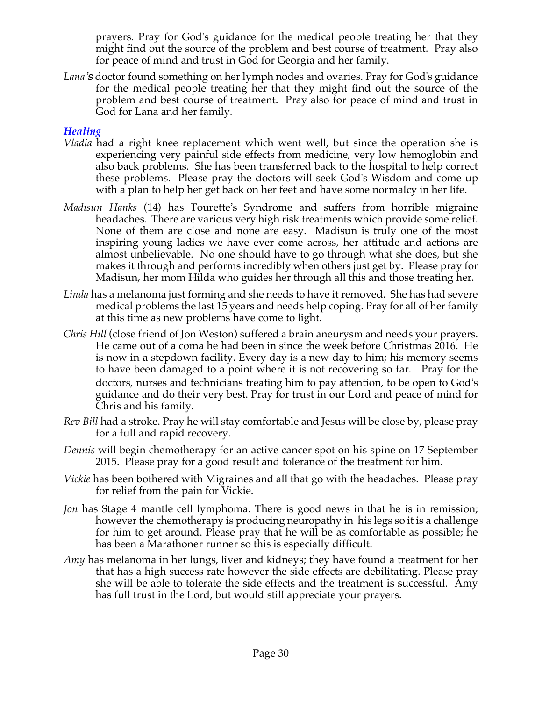prayers. Pray for God's guidance for the medical people treating her that they might find out the source of the problem and best course of treatment. Pray also for peace of mind and trust in God for Georgia and her family.

*Lana's* doctor found something on her lymph nodes and ovaries. Pray for God's guidance for the medical people treating her that they might find out the source of the problem and best course of treatment. Pray also for peace of mind and trust in God for Lana and her family.

#### *Healing*

- *Vladia* had a right knee replacement which went well, but since the operation she is experiencing very painful side effects from medicine, very low hemoglobin and also back problems. She has been transferred back to the hospital to help correct these problems. Please pray the doctors will seek God's Wisdom and come up with a plan to help her get back on her feet and have some normalcy in her life.
- *Madisun Hanks* (14) has Tourette's Syndrome and suffers from horrible migraine headaches. There are various very high risk treatments which provide some relief. None of them are close and none are easy. Madisun is truly one of the most inspiring young ladies we have ever come across, her attitude and actions are almost unbelievable. No one should have to go through what she does, but she makes it through and performs incredibly when others just get by. Please pray for Madisun, her mom Hilda who guides her through all this and those treating her.
- *Linda* has a melanoma just forming and she needs to have it removed. She has had severe medical problems the last 15 years and needs help coping. Pray for all of her family at this time as new problems have come to light.
- *Chris Hill* (close friend of Jon Weston) suffered a brain aneurysm and needs your prayers. He came out of a coma he had been in since the week before Christmas 2016. He is now in a stepdown facility. Every day is a new day to him; his memory seems to have been damaged to a point where it is not recovering so far. Pray for the doctors, nurses and technicians treating him to pay attention, to be open to God's guidance and do their very best. Pray for trust in our Lord and peace of mind for Chris and his family.
- *Rev Bill* had a stroke. Pray he will stay comfortable and Jesus will be close by, please pray for a full and rapid recovery.
- *Dennis* will begin chemotherapy for an active cancer spot on his spine on 17 September 2015. Please pray for a good result and tolerance of the treatment for him.
- *Vickie* has been bothered with Migraines and all that go with the headaches. Please pray for relief from the pain for Vickie.
- *Jon* has Stage 4 mantle cell lymphoma. There is good news in that he is in remission; however the chemotherapy is producing neuropathy in his legs so it is a challenge for him to get around. Please pray that he will be as comfortable as possible; he has been a Marathoner runner so this is especially difficult.
- *Amy* has melanoma in her lungs, liver and kidneys; they have found a treatment for her that has a high success rate however the side effects are debilitating. Please pray she will be able to tolerate the side effects and the treatment is successful. Amy has full trust in the Lord, but would still appreciate your prayers.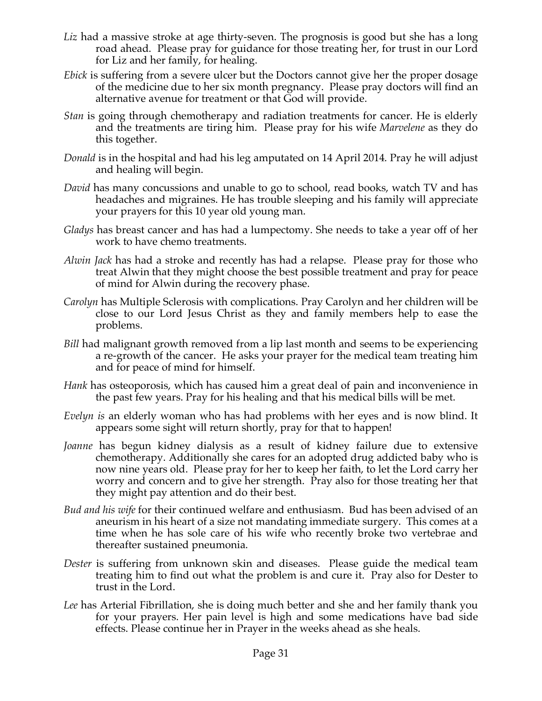- *Liz* had a massive stroke at age thirty-seven. The prognosis is good but she has a long road ahead. Please pray for guidance for those treating her, for trust in our Lord for Liz and her family, for healing.
- *Ebick* is suffering from a severe ulcer but the Doctors cannot give her the proper dosage of the medicine due to her six month pregnancy. Please pray doctors will find an alternative avenue for treatment or that God will provide.
- *Stan* is going through chemotherapy and radiation treatments for cancer. He is elderly and the treatments are tiring him. Please pray for his wife *Marvelene* as they do this together.
- *Donald* is in the hospital and had his leg amputated on 14 April 2014. Pray he will adjust and healing will begin.
- *David* has many concussions and unable to go to school, read books, watch TV and has headaches and migraines. He has trouble sleeping and his family will appreciate your prayers for this 10 year old young man.
- *Gladys* has breast cancer and has had a lumpectomy. She needs to take a year off of her work to have chemo treatments.
- *Alwin Jack* has had a stroke and recently has had a relapse. Please pray for those who treat Alwin that they might choose the best possible treatment and pray for peace of mind for Alwin during the recovery phase.
- *Carolyn* has Multiple Sclerosis with complications. Pray Carolyn and her children will be close to our Lord Jesus Christ as they and family members help to ease the problems.
- *Bill* had malignant growth removed from a lip last month and seems to be experiencing a re-growth of the cancer. He asks your prayer for the medical team treating him and for peace of mind for himself.
- *Hank* has osteoporosis, which has caused him a great deal of pain and inconvenience in the past few years. Pray for his healing and that his medical bills will be met.
- *Evelyn is* an elderly woman who has had problems with her eyes and is now blind. It appears some sight will return shortly, pray for that to happen!
- Joanne has begun kidney dialysis as a result of kidney failure due to extensive chemotherapy. Additionally she cares for an adopted drug addicted baby who is now nine years old. Please pray for her to keep her faith, to let the Lord carry her worry and concern and to give her strength. Pray also for those treating her that they might pay attention and do their best.
- *Bud and his wife* for their continued welfare and enthusiasm. Bud has been advised of an aneurism in his heart of a size not mandating immediate surgery. This comes at a time when he has sole care of his wife who recently broke two vertebrae and thereafter sustained pneumonia.
- *Dester* is suffering from unknown skin and diseases. Please guide the medical team treating him to find out what the problem is and cure it. Pray also for Dester to trust in the Lord.
- *Lee* has Arterial Fibrillation, she is doing much better and she and her family thank you for your prayers. Her pain level is high and some medications have bad side effects. Please continue her in Prayer in the weeks ahead as she heals.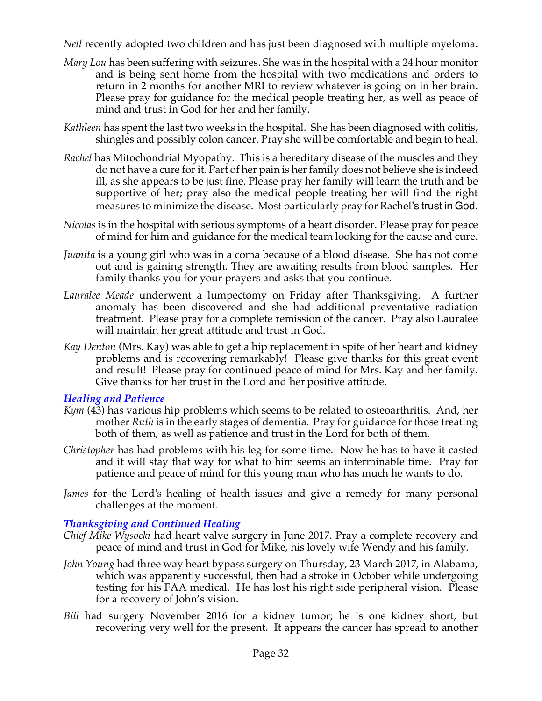*Nell* recently adopted two children and has just been diagnosed with multiple myeloma.

- *Mary Lou* has been suffering with seizures. She was in the hospital with a 24 hour monitor and is being sent home from the hospital with two medications and orders to return in 2 months for another MRI to review whatever is going on in her brain. Please pray for guidance for the medical people treating her, as well as peace of mind and trust in God for her and her family.
- *Kathleen* has spent the last two weeks in the hospital. She has been diagnosed with colitis, shingles and possibly colon cancer. Pray she will be comfortable and begin to heal.
- *Rachel* has Mitochondrial Myopathy. This is a hereditary disease of the muscles and they do not have a cure for it. Part of her pain is her family does not believe she is indeed ill, as she appears to be just fine. Please pray her family will learn the truth and be supportive of her; pray also the medical people treating her will find the right measures to minimize the disease. Most particularly pray for Rachel's trust in God.
- *Nicolas* is in the hospital with serious symptoms of a heart disorder. Please pray for peace of mind for him and guidance for the medical team looking for the cause and cure.
- *Juanita* is a young girl who was in a coma because of a blood disease. She has not come out and is gaining strength. They are awaiting results from blood samples. Her family thanks you for your prayers and asks that you continue.
- *Lauralee Meade* underwent a lumpectomy on Friday after Thanksgiving. A further anomaly has been discovered and she had additional preventative radiation treatment. Please pray for a complete remission of the cancer. Pray also Lauralee will maintain her great attitude and trust in God.
- *Kay Denton* (Mrs. Kay) was able to get a hip replacement in spite of her heart and kidney problems and is recovering remarkably! Please give thanks for this great event and result! Please pray for continued peace of mind for Mrs. Kay and her family. Give thanks for her trust in the Lord and her positive attitude.

## *Healing and Patience*

- *Kym* (43) has various hip problems which seems to be related to osteoarthritis. And, her mother *Ruth* is in the early stages of dementia. Pray for guidance for those treating both of them, as well as patience and trust in the Lord for both of them.
- *Christopher* has had problems with his leg for some time. Now he has to have it casted and it will stay that way for what to him seems an interminable time. Pray for patience and peace of mind for this young man who has much he wants to do.
- *James* for the Lord's healing of health issues and give a remedy for many personal challenges at the moment.

## *Thanksgiving and Continued Healing*

- *Chief Mike Wysocki* had heart valve surgery in June 2017. Pray a complete recovery and peace of mind and trust in God for Mike, his lovely wife Wendy and his family.
- *John Young* had three way heart bypass surgery on Thursday, 23 March 2017, in Alabama, which was apparently successful, then had a stroke in October while undergoing testing for his FAA medical. He has lost his right side peripheral vision. Please for a recovery of John's vision.
- *Bill* had surgery November 2016 for a kidney tumor; he is one kidney short, but recovering very well for the present. It appears the cancer has spread to another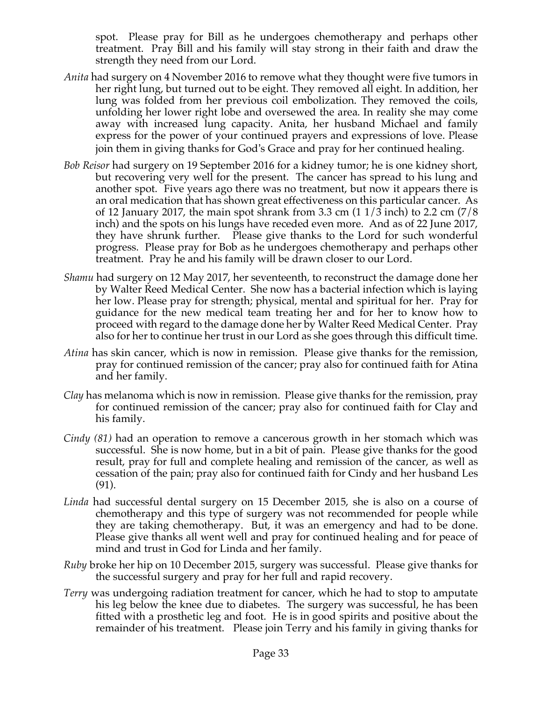spot. Please pray for Bill as he undergoes chemotherapy and perhaps other treatment. Pray Bill and his family will stay strong in their faith and draw the strength they need from our Lord.

- *Anita* had surgery on 4 November 2016 to remove what they thought were five tumors in her right lung, but turned out to be eight. They removed all eight. In addition, her lung was folded from her previous coil embolization. They removed the coils, unfolding her lower right lobe and oversewed the area. In reality she may come away with increased lung capacity. Anita, her husband Michael and family express for the power of your continued prayers and expressions of love. Please join them in giving thanks for God's Grace and pray for her continued healing.
- *Bob Reisor* had surgery on 19 September 2016 for a kidney tumor; he is one kidney short, but recovering very well for the present. The cancer has spread to his lung and another spot. Five years ago there was no treatment, but now it appears there is an oral medication that has shown great effectiveness on this particular cancer. As of 12 January 2017, the main spot shrank from 3.3 cm  $(11/3 \text{ inch})$  to 2.2 cm  $(7/8 \text{ ft})$ inch) and the spots on his lungs have receded even more. And as of 22 June 2017, they have shrunk further. Please give thanks to the Lord for such wonderful progress. Please pray for Bob as he undergoes chemotherapy and perhaps other treatment. Pray he and his family will be drawn closer to our Lord.
- *Shamu* had surgery on 12 May 2017, her seventeenth, to reconstruct the damage done her by Walter Reed Medical Center. She now has a bacterial infection which is laying her low. Please pray for strength; physical, mental and spiritual for her. Pray for guidance for the new medical team treating her and for her to know how to proceed with regard to the damage done her by Walter Reed Medical Center. Pray also for her to continue her trust in our Lord as she goes through this difficult time.
- *Atina* has skin cancer, which is now in remission. Please give thanks for the remission, pray for continued remission of the cancer; pray also for continued faith for Atina and her family.
- *Clay* has melanoma which is now in remission. Please give thanks for the remission, pray for continued remission of the cancer; pray also for continued faith for Clay and his family.
- *Cindy (81)* had an operation to remove a cancerous growth in her stomach which was successful. She is now home, but in a bit of pain. Please give thanks for the good result, pray for full and complete healing and remission of the cancer, as well as cessation of the pain; pray also for continued faith for Cindy and her husband Les (91).
- *Linda* had successful dental surgery on 15 December 2015, she is also on a course of chemotherapy and this type of surgery was not recommended for people while they are taking chemotherapy. But, it was an emergency and had to be done. Please give thanks all went well and pray for continued healing and for peace of mind and trust in God for Linda and her family.
- *Ruby* broke her hip on 10 December 2015, surgery was successful. Please give thanks for the successful surgery and pray for her full and rapid recovery.
- *Terry* was undergoing radiation treatment for cancer, which he had to stop to amputate his leg below the knee due to diabetes. The surgery was successful, he has been fitted with a prosthetic leg and foot. He is in good spirits and positive about the remainder of his treatment. Please join Terry and his family in giving thanks for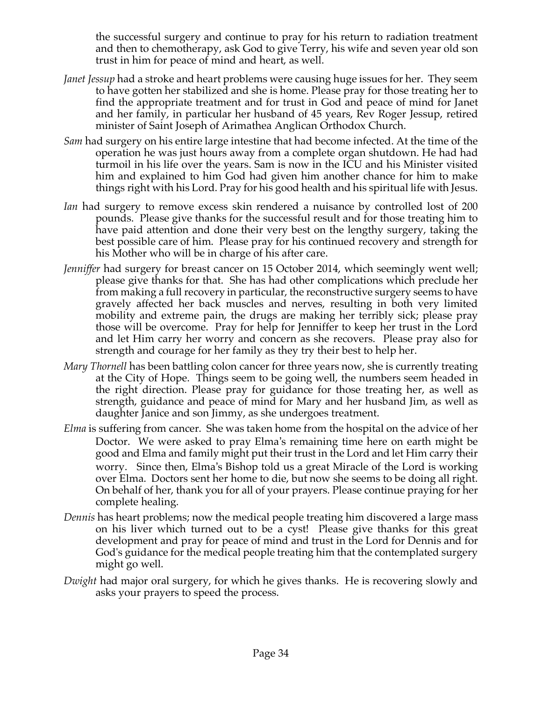the successful surgery and continue to pray for his return to radiation treatment and then to chemotherapy, ask God to give Terry, his wife and seven year old son trust in him for peace of mind and heart, as well.

- *Janet Jessup* had a stroke and heart problems were causing huge issues for her. They seem to have gotten her stabilized and she is home. Please pray for those treating her to find the appropriate treatment and for trust in God and peace of mind for Janet and her family, in particular her husband of 45 years, Rev Roger Jessup, retired minister of Saint Joseph of Arimathea Anglican Orthodox Church.
- *Sam* had surgery on his entire large intestine that had become infected. At the time of the operation he was just hours away from a complete organ shutdown. He had had turmoil in his life over the years. Sam is now in the ICU and his Minister visited him and explained to him God had given him another chance for him to make things right with his Lord. Pray for his good health and his spiritual life with Jesus.
- *Ian* had surgery to remove excess skin rendered a nuisance by controlled lost of 200 pounds. Please give thanks for the successful result and for those treating him to have paid attention and done their very best on the lengthy surgery, taking the best possible care of him. Please pray for his continued recovery and strength for his Mother who will be in charge of his after care.
- *Jenniffer* had surgery for breast cancer on 15 October 2014, which seemingly went well; please give thanks for that. She has had other complications which preclude her from making a full recovery in particular, the reconstructive surgery seems to have gravely affected her back muscles and nerves, resulting in both very limited mobility and extreme pain, the drugs are making her terribly sick; please pray those will be overcome. Pray for help for Jenniffer to keep her trust in the Lord and let Him carry her worry and concern as she recovers. Please pray also for strength and courage for her family as they try their best to help her.
- *Mary Thornell* has been battling colon cancer for three years now, she is currently treating at the City of Hope. Things seem to be going well, the numbers seem headed in the right direction. Please pray for guidance for those treating her, as well as strength, guidance and peace of mind for Mary and her husband Jim, as well as daughter Janice and son Jimmy, as she undergoes treatment.
- *Elma* is suffering from cancer. She was taken home from the hospital on the advice of her Doctor. We were asked to pray Elma's remaining time here on earth might be good and Elma and family might put their trust in the Lord and let Him carry their worry. Since then, Elma's Bishop told us a great Miracle of the Lord is working over Elma. Doctors sent her home to die, but now she seems to be doing all right. On behalf of her, thank you for all of your prayers. Please continue praying for her complete healing.
- *Dennis* has heart problems; now the medical people treating him discovered a large mass on his liver which turned out to be a cyst! Please give thanks for this great development and pray for peace of mind and trust in the Lord for Dennis and for God's guidance for the medical people treating him that the contemplated surgery might go well.
- *Dwight* had major oral surgery, for which he gives thanks. He is recovering slowly and asks your prayers to speed the process.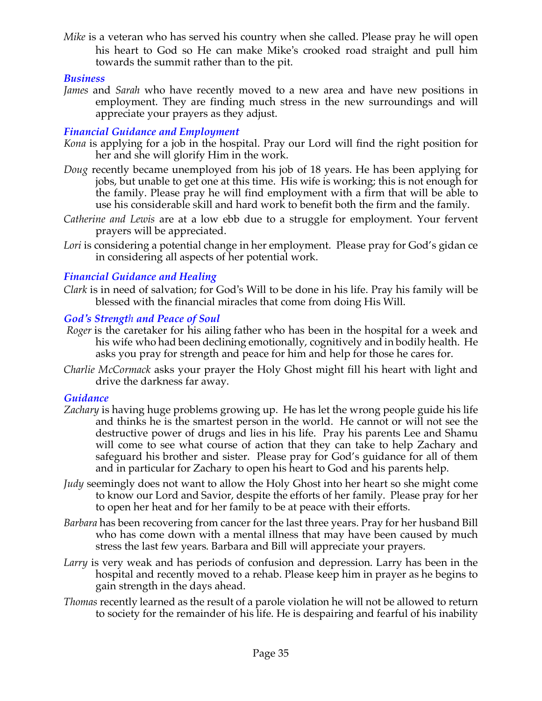*Mike* is a veteran who has served his country when she called. Please pray he will open his heart to God so He can make Mike's crooked road straight and pull him towards the summit rather than to the pit.

## *Business*

*James* and *Sarah* who have recently moved to a new area and have new positions in employment. They are finding much stress in the new surroundings and will appreciate your prayers as they adjust.

## *Financial Guidance and Employment*

- *Kona* is applying for a job in the hospital. Pray our Lord will find the right position for her and she will glorify Him in the work.
- *Doug* recently became unemployed from his job of 18 years. He has been applying for jobs, but unable to get one at this time. His wife is working; this is not enough for the family. Please pray he will find employment with a firm that will be able to use his considerable skill and hard work to benefit both the firm and the family.
- *Catherine and Lewis* are at a low ebb due to a struggle for employment. Your fervent prayers will be appreciated.
- Lori is considering a potential change in her employment. Please pray for God's gidan ce in considering all aspects of her potential work.

## *Financial Guidance and Healing*

*Clark* is in need of salvation; for God's Will to be done in his life. Pray his family will be blessed with the financial miracles that come from doing His Will.

## *God's Strength and Peace of Soul*

- *Roger* is the caretaker for his ailing father who has been in the hospital for a week and his wife who had been declining emotionally, cognitively and in bodily health. He asks you pray for strength and peace for him and help for those he cares for.
- *Charlie McCormack* asks your prayer the Holy Ghost might fill his heart with light and drive the darkness far away.

## *Guidance*

- *Zachary* is having huge problems growing up. He has let the wrong people guide his life and thinks he is the smartest person in the world. He cannot or will not see the destructive power of drugs and lies in his life. Pray his parents Lee and Shamu will come to see what course of action that they can take to help Zachary and safeguard his brother and sister. Please pray for God's guidance for all of them and in particular for Zachary to open his heart to God and his parents help.
- *Judy* seemingly does not want to allow the Holy Ghost into her heart so she might come to know our Lord and Savior, despite the efforts of her family. Please pray for her to open her heat and for her family to be at peace with their efforts.
- *Barbara* has been recovering from cancer for the last three years. Pray for her husband Bill who has come down with a mental illness that may have been caused by much stress the last few years. Barbara and Bill will appreciate your prayers.
- *Larry* is very weak and has periods of confusion and depression. Larry has been in the hospital and recently moved to a rehab. Please keep him in prayer as he begins to gain strength in the days ahead.
- *Thomas* recently learned as the result of a parole violation he will not be allowed to return to society for the remainder of his life. He is despairing and fearful of his inability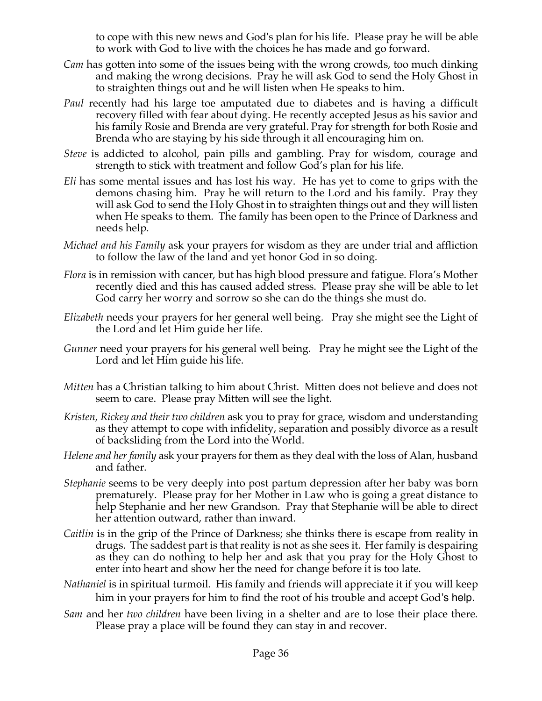to cope with this new news and God's plan for his life. Please pray he will be able to work with God to live with the choices he has made and go forward.

- *Cam* has gotten into some of the issues being with the wrong crowds, too much dinking and making the wrong decisions. Pray he will ask God to send the Holy Ghost in to straighten things out and he will listen when He speaks to him.
- *Paul* recently had his large toe amputated due to diabetes and is having a difficult recovery filled with fear about dying. He recently accepted Jesus as his savior and his family Rosie and Brenda are very grateful. Pray for strength for both Rosie and Brenda who are staying by his side through it all encouraging him on.
- *Steve* is addicted to alcohol, pain pills and gambling. Pray for wisdom, courage and strength to stick with treatment and follow God's plan for his life.
- *Eli* has some mental issues and has lost his way. He has yet to come to grips with the demons chasing him. Pray he will return to the Lord and his family. Pray they will ask God to send the Holy Ghost in to straighten things out and they will listen when He speaks to them. The family has been open to the Prince of Darkness and needs help.
- *Michael and his Family* ask your prayers for wisdom as they are under trial and affliction to follow the law of the land and yet honor God in so doing.
- *Flora* is in remission with cancer, but has high blood pressure and fatigue. Flora's Mother recently died and this has caused added stress. Please pray she will be able to let God carry her worry and sorrow so she can do the things she must do.
- *Elizabeth* needs your prayers for her general well being. Pray she might see the Light of the Lord and let Him guide her life.
- *Gunner* need your prayers for his general well being. Pray he might see the Light of the Lord and let Him guide his life.
- *Mitten* has a Christian talking to him about Christ. Mitten does not believe and does not seem to care. Please pray Mitten will see the light.
- *Kristen, Rickey and their two children* ask you to pray for grace, wisdom and understanding as they attempt to cope with infidelity, separation and possibly divorce as a result of backsliding from the Lord into the World.
- *Helene and her family* ask your prayers for them as they deal with the loss of Alan, husband and father.
- *Stephanie* seems to be very deeply into post partum depression after her baby was born prematurely. Please pray for her Mother in Law who is going a great distance to help Stephanie and her new Grandson. Pray that Stephanie will be able to direct her attention outward, rather than inward.
- *Caitlin* is in the grip of the Prince of Darkness; she thinks there is escape from reality in drugs. The saddest part is that reality is not as she sees it. Her family is despairing as they can do nothing to help her and ask that you pray for the Holy Ghost to enter into heart and show her the need for change before it is too late.
- *Nathaniel* is in spiritual turmoil. His family and friends will appreciate it if you will keep him in your prayers for him to find the root of his trouble and accept God's help.
- *Sam* and her *two children* have been living in a shelter and are to lose their place there. Please pray a place will be found they can stay in and recover.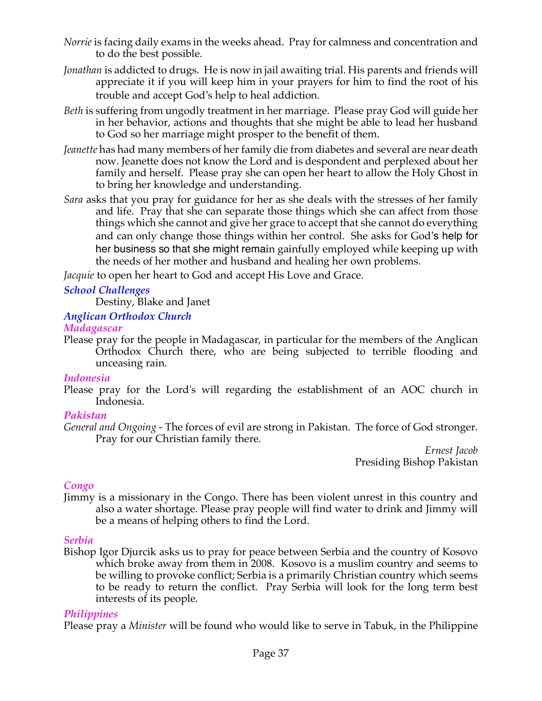- *Norrie* is facing daily exams in the weeks ahead. Pray for calmness and concentration and to do the best possible.
- *Jonathan* is addicted to drugs. He is now in jail awaiting trial. His parents and friends will appreciate it if you will keep him in your prayers for him to find the root of his trouble and accept God's help to heal addiction.
- *Beth* is suffering from ungodly treatment in her marriage. Please pray God will guide her in her behavior, actions and thoughts that she might be able to lead her husband to God so her marriage might prosper to the benefit of them.
- *Jeanette* has had many members of her family die from diabetes and several are near death now. Jeanette does not know the Lord and is despondent and perplexed about her family and herself. Please pray she can open her heart to allow the Holy Ghost in to bring her knowledge and understanding.
- *Sara* asks that you pray for guidance for her as she deals with the stresses of her family and life. Pray that she can separate those things which she can affect from those things which she cannot and give her grace to accept that she cannot do everything and can only change those things within her control. She asks for God's help for her business so that she might remain gainfully employed while keeping up with the needs of her mother and husband and healing her own problems.

*Jacquie* to open her heart to God and accept His Love and Grace.

## *School Challenges*

Destiny, Blake and Janet

#### *Anglican Orthodox Church*

#### *Madagascar*

Please pray for the people in Madagascar, in particular for the members of the Anglican Orthodox Church there, who are being subjected to terrible flooding and unceasing rain.

#### *Indonesia*

Please pray for the Lord's will regarding the establishment of an AOC church in Indonesia.

## *Pakistan*

*General and Ongoing -* The forces of evil are strong in Pakistan. The force of God stronger. Pray for our Christian family there.

*Ernest Jacob* Presiding Bishop Pakistan

## *Congo*

Jimmy is a missionary in the Congo. There has been violent unrest in this country and also a water shortage. Please pray people will find water to drink and Jimmy will be a means of helping others to find the Lord.

## *Serbia*

Bishop Igor Djurcik asks us to pray for peace between Serbia and the country of Kosovo which broke away from them in 2008. Kosovo is a muslim country and seems to be willing to provoke conflict; Serbia is a primarily Christian country which seems to be ready to return the conflict. Pray Serbia will look for the long term best interests of its people.

## *Philippines*

Please pray a *Minister* will be found who would like to serve in Tabuk, in the Philippine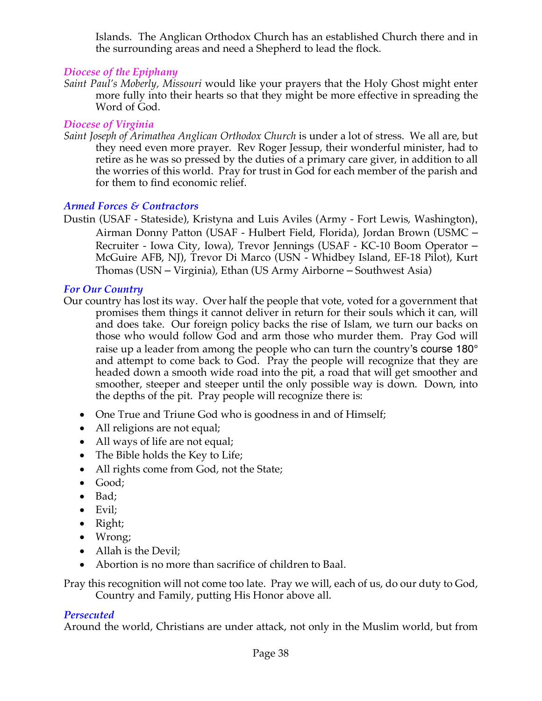Islands. The Anglican Orthodox Church has an established Church there and in the surrounding areas and need a Shepherd to lead the flock*.*

## *Diocese of the Epiphany*

*Saint Paul's Moberly, Missouri* would like your prayers that the Holy Ghost might enter more fully into their hearts so that they might be more effective in spreading the Word of God.

## *Diocese of Virginia*

*Saint Joseph of Arimathea Anglican Orthodox Church* is under a lot of stress. We all are, but they need even more prayer. Rev Roger Jessup, their wonderful minister, had to retire as he was so pressed by the duties of a primary care giver, in addition to all the worries of this world. Pray for trust in God for each member of the parish and for them to find economic relief.

## *Armed Forces & Contractors*

Dustin (USAF - Stateside), Kristyna and Luis Aviles (Army - Fort Lewis, Washington), Airman Donny Patton (USAF - Hulbert Field, Florida), Jordan Brown (USMC – Recruiter - Iowa City, Iowa), Trevor Jennings (USAF - KC-10 Boom Operator – McGuire AFB, NJ), Trevor Di Marco (USN - Whidbey Island, EF-18 Pilot), Kurt Thomas (USN – Virginia), Ethan (US Army Airborne – Southwest Asia)

## *For Our Country*

- Our country has lost its way. Over half the people that vote, voted for a government that promises them things it cannot deliver in return for their souls which it can, will and does take. Our foreign policy backs the rise of Islam, we turn our backs on those who would follow God and arm those who murder them. Pray God will raise up a leader from among the people who can turn the country's course 180° and attempt to come back to God. Pray the people will recognize that they are headed down a smooth wide road into the pit, a road that will get smoother and smoother, steeper and steeper until the only possible way is down. Down, into the depths of the pit. Pray people will recognize there is:
	- One True and Triune God who is goodness in and of Himself;
	- All religions are not equal;
	- All ways of life are not equal;
	- The Bible holds the Key to Life;
	- All rights come from God, not the State;
	- Good;
	- Bad;
	- Evil;
	- Right;
	- Wrong;
	- Allah is the Devil;
	- Abortion is no more than sacrifice of children to Baal.

Pray this recognition will not come too late. Pray we will, each of us, do our duty to God, Country and Family, putting His Honor above all.

## *Persecuted*

Around the world, Christians are under attack, not only in the Muslim world, but from